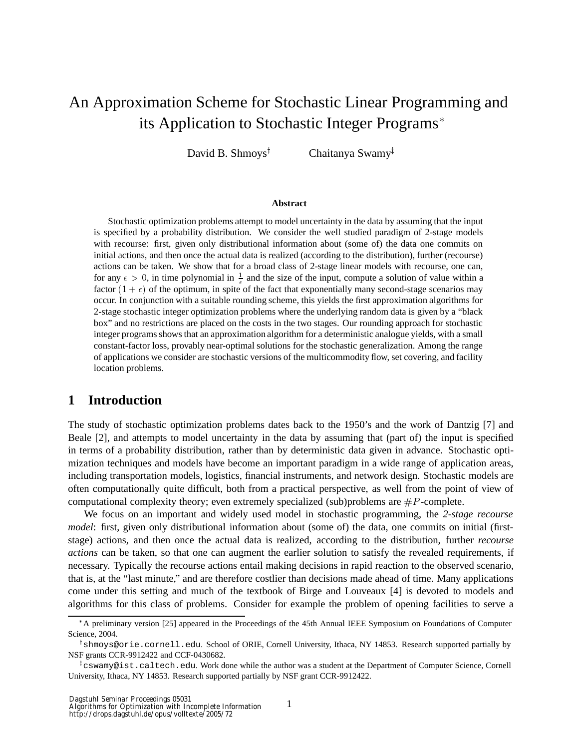# An Approximation Scheme for Stochastic Linear Programming and its Application to Stochastic Integer Programs

David B. Shmoys<sup>†</sup> Chaitanya Swamy

#### **Abstract**

Stochastic optimization problems attempt to model uncertainty in the data by assuming that the input is specified by a probability distribution. We consider the well studied paradigm of 2-stage models with recourse: first, given only distributional information about (some of) the data one commits on initial actions, and then once the actual data is realized (according to the distribution), further (recourse) actions can be taken. We show that for a broad class of 2-stage linear models with recourse, one can, for any  $\epsilon > 0$ , in time polynomial in  $\frac{1}{\epsilon}$  and the size of the input, compute a solution of value within a factor  $(1 + \epsilon)$  of the optimum, in spite of the fact that exponentially many second-stage scenarios may occur. In conjunction with a suitable rounding scheme, this yields the first approximation algorithms for 2-stage stochastic integer optimization problems where the underlying random data is given by a "black box" and no restrictions are placed on the costs in the two stages. Our rounding approach for stochastic integer programs shows that an approximation algorithm for a deterministic analogue yields, with a small constant-factor loss, provably near-optimal solutions for the stochastic generalization. Among the range of applications we consider are stochastic versions of the multicommodity flow, set covering, and facility location problems.

## **1 Introduction**

The study of stochastic optimization problems dates back to the 1950's and the work of Dantzig [7] and Beale [2], and attempts to model uncertainty in the data by assuming that (part of) the input is specified in terms of a probability distribution, rather than by deterministic data given in advance. Stochastic optimization techniques and models have become an important paradigm in a wide range of application areas, including transportation models, logistics, financial instruments, and network design. Stochastic models are often computationally quite difficult, both from a practical perspective, as well from the point of view of computational complexity theory; even extremely specialized (sub)problems are  $\#P$ -complete.

We focus on an important and widely used model in stochastic programming, the *2-stage recourse model*: first, given only distributional information about (some of) the data, one commits on initial (firststage) actions, and then once the actual data is realized, according to the distribution, further *recourse actions* can be taken, so that one can augment the earlier solution to satisfy the revealed requirements, if necessary. Typically the recourse actions entail making decisions in rapid reaction to the observed scenario, that is, at the "last minute," and are therefore costlier than decisions made ahead of time. Many applications come under this setting and much of the textbook of Birge and Louveaux [4] is devoted to models and algorithms for this class of problems. Consider for example the problem of opening facilities to serve a

<sup>\*</sup>A preliminary version [25] appeared in the Proceedings of the 45th Annual IEEE Symposium on Foundations of Computer Science, 2004.

shmoys@orie.cornell.edu. School of ORIE, Cornell University, Ithaca, NY 14853. Research supported partially by NSF grants CCR-9912422 and CCF-0430682.

 $^{\ddagger}$ c $\,$ swam $\gamma$ @ist.caltech.edu. Work done while the author was a student at the Department of Computer Science, Cornell University, Ithaca, NY 14853. Research supported partially by NSF grant CCR-9912422.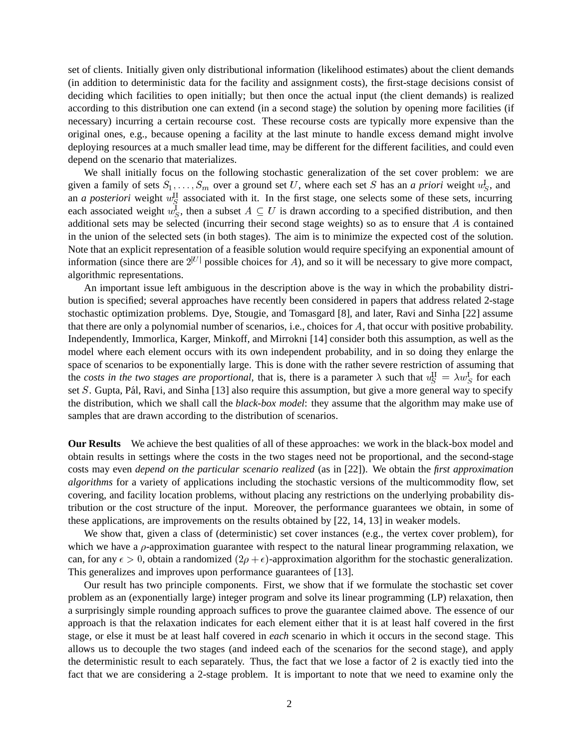set of clients. Initially given only distributional information (likelihood estimates) about the client demands (in addition to deterministic data for the facility and assignment costs), the first-stage decisions consist of deciding which facilities to open initially; but then once the actual input (the client demands) is realized according to this distribution one can extend (in a second stage) the solution by opening more facilities (if necessary) incurring a certain recourse cost. These recourse costs are typically more expensive than the original ones, e.g., because opening a facility at the last minute to handle excess demand might involve deploying resources at a much smaller lead time, may be different for the different facilities, and could even depend on the scenario that materializes.

We shall initially focus on the following stochastic generalization of the set cover problem: we are given a family of sets  $S_1, \ldots, S_m$  over a ground set U, where each set S has an *a priori* weight  $u_S^1$ , and an *a posteriori* weight  $w_S^H$  associated with it. In the first stage, one selects some of these sets, incurring each associated weight  $w_S^1$ , then a subset  $A \subseteq U$  is drawn according to a specified distribution, and then additional sets may be selected (incurring their second stage weights) so as to ensure that  $A$  is contained in the union of the selected sets (in both stages). The aim is to minimize the expected cost of the solution. Note that an explicit representation of a feasible solution would require specifying an exponential amount of information (since there are  $2^{|U|}$  possible choices for A), and so it will be necessary to give more compact, algorithmic representations.

An important issue left ambiguous in the description above is the way in which the probability distribution is specified; several approaches have recently been considered in papers that address related 2-stage stochastic optimization problems. Dye, Stougie, and Tomasgard [8], and later, Ravi and Sinha [22] assume that there are only a polynomial number of scenarios, i.e., choices for  $A$ , that occur with positive probability. Independently, Immorlica, Karger, Minkoff, and Mirrokni [14] consider both this assumption, as well as the model where each element occurs with its own independent probability, and in so doing they enlarge the space of scenarios to be exponentially large. This is done with the rather severe restriction of assuming that the *costs in the two stages are proportional*, that is, there is a parameter  $\lambda$  such that  $u_S^H = \lambda w_S^L$  for each set  $S$ . Gupta, Pál, Ravi, and Sinha [13] also require this assumption, but give a more general way to specify the distribution, which we shall call the *black-box model*: they assume that the algorithm may make use of samples that are drawn according to the distribution of scenarios.

**Our Results** We achieve the best qualities of all of these approaches: we work in the black-box model and obtain results in settings where the costs in the two stages need not be proportional, and the second-stage costs may even *depend on the particular scenario realized* (as in [22]). We obtain the *first approximation algorithms* for a variety of applications including the stochastic versions of the multicommodity flow, set covering, and facility location problems, without placing any restrictions on the underlying probability distribution or the cost structure of the input. Moreover, the performance guarantees we obtain, in some of these applications, are improvements on the results obtained by [22, 14, 13] in weaker models.

We show that, given a class of (deterministic) set cover instances (e.g., the vertex cover problem), for which we have a  $\rho$ -approximation guarantee with respect to the natural linear programming relaxation, we can, for any  $\epsilon > 0$ , obtain a randomized  $(2\rho + \epsilon)$ -approximation algorithm for the stochastic generalization. This generalizes and improves upon performance guarantees of [13].

Our result has two principle components. First, we show that if we formulate the stochastic set cover problem as an (exponentially large) integer program and solve its linear programming (LP) relaxation, then a surprisingly simple rounding approach suffices to prove the guarantee claimed above. The essence of our approach is that the relaxation indicates for each element either that it is at least half covered in the first stage, or else it must be at least half covered in *each* scenario in which it occurs in the second stage. This allows us to decouple the two stages (and indeed each of the scenarios for the second stage), and apply the deterministic result to each separately. Thus, the fact that we lose a factor of 2 is exactly tied into the fact that we are considering a 2-stage problem. It is important to note that we need to examine only the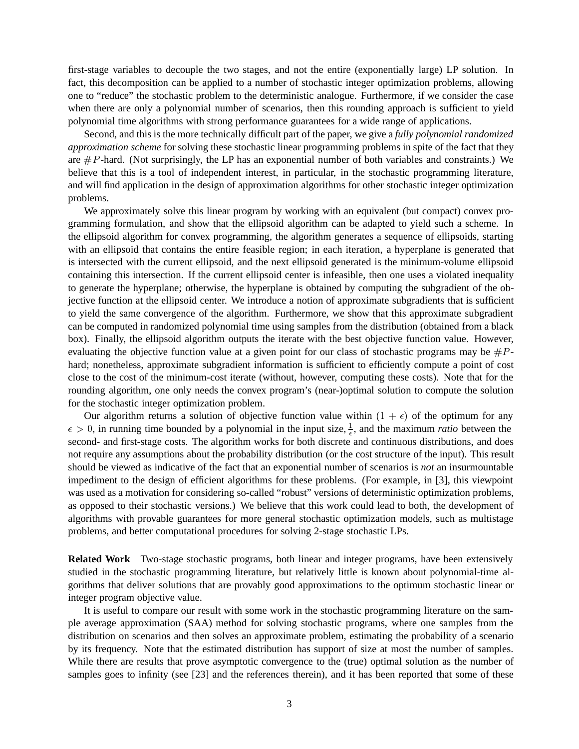first-stage variables to decouple the two stages, and not the entire (exponentially large) LP solution. In fact, this decomposition can be applied to a number of stochastic integer optimization problems, allowing one to "reduce" the stochastic problem to the deterministic analogue. Furthermore, if we consider the case when there are only a polynomial number of scenarios, then this rounding approach is sufficient to yield polynomial time algorithms with strong performance guarantees for a wide range of applications.

Second, and this is the more technically difficult part of the paper, we give a *fully polynomial randomized approximation scheme* for solving these stochastic linear programming problems in spite of the fact that they are  $\#P$ -hard. (Not surprisingly, the LP has an exponential number of both variables and constraints.) We believe that this is a tool of independent interest, in particular, in the stochastic programming literature, and will find application in the design of approximation algorithms for other stochastic integer optimization problems.

We approximately solve this linear program by working with an equivalent (but compact) convex programming formulation, and show that the ellipsoid algorithm can be adapted to yield such a scheme. In the ellipsoid algorithm for convex programming, the algorithm generates a sequence of ellipsoids, starting with an ellipsoid that contains the entire feasible region; in each iteration, a hyperplane is generated that is intersected with the current ellipsoid, and the next ellipsoid generated is the minimum-volume ellipsoid containing this intersection. If the current ellipsoid center is infeasible, then one uses a violated inequality to generate the hyperplane; otherwise, the hyperplane is obtained by computing the subgradient of the objective function at the ellipsoid center. We introduce a notion of approximate subgradients that is sufficient to yield the same convergence of the algorithm. Furthermore, we show that this approximate subgradient can be computed in randomized polynomial time using samples from the distribution (obtained from a black box). Finally, the ellipsoid algorithm outputs the iterate with the best objective function value. However, evaluating the objective function value at a given point for our class of stochastic programs may be  $\#P$ hard; nonetheless, approximate subgradient information is sufficient to efficiently compute a point of cost close to the cost of the minimum-cost iterate (without, however, computing these costs). Note that for the rounding algorithm, one only needs the convex program's (near-)optimal solution to compute the solution for the stochastic integer optimization problem.

Our algorithm returns a solution of objective function value within  $(1 + \epsilon)$  of the optimum for any  $\epsilon > 0$ , in running time bounded by a polynomial in the input size,  $\frac{1}{\epsilon}$ , and the maximum *ratio* between the second- and first-stage costs. The algorithm works for both discrete and continuous distributions, and does not require any assumptions about the probability distribution (or the cost structure of the input). This result should be viewed as indicative of the fact that an exponential number of scenarios is *not* an insurmountable impediment to the design of efficient algorithms for these problems. (For example, in [3], this viewpoint was used as a motivation for considering so-called "robust" versions of deterministic optimization problems, as opposed to their stochastic versions.) We believe that this work could lead to both, the development of algorithms with provable guarantees for more general stochastic optimization models, such as multistage problems, and better computational procedures for solving 2-stage stochastic LPs.

**Related Work** Two-stage stochastic programs, both linear and integer programs, have been extensively studied in the stochastic programming literature, but relatively little is known about polynomial-time algorithms that deliver solutions that are provably good approximations to the optimum stochastic linear or integer program objective value.

It is useful to compare our result with some work in the stochastic programming literature on the sample average approximation (SAA) method for solving stochastic programs, where one samples from the distribution on scenarios and then solves an approximate problem, estimating the probability of a scenario by its frequency. Note that the estimated distribution has support of size at most the number of samples. While there are results that prove asymptotic convergence to the (true) optimal solution as the number of samples goes to infinity (see [23] and the references therein), and it has been reported that some of these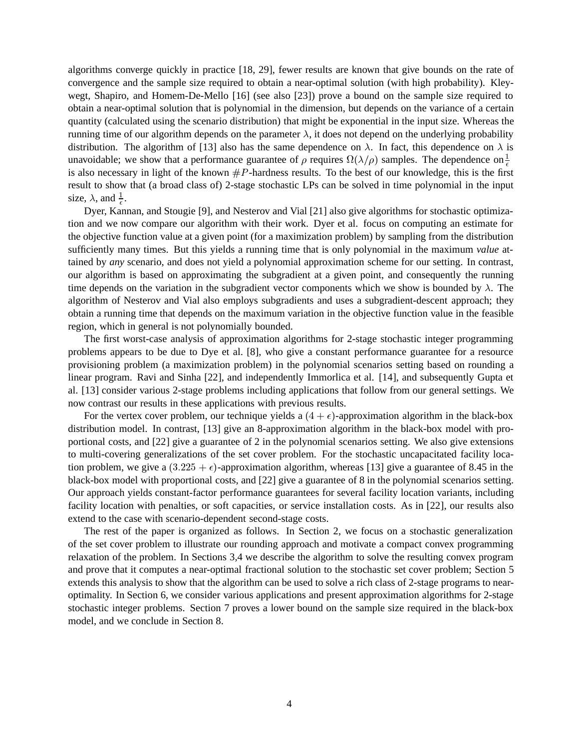algorithms converge quickly in practice [18, 29], fewer results are known that give bounds on the rate of convergence and the sample size required to obtain a near-optimal solution (with high probability). Kleywegt, Shapiro, and Homem-De-Mello [16] (see also [23]) prove a bound on the sample size required to obtain a near-optimal solution that is polynomial in the dimension, but depends on the variance of a certain quantity (calculated using the scenario distribution) that might be exponential in the input size. Whereas the running time of our algorithm depends on the parameter  $\lambda$ , it does not depend on the underlying probability distribution. The algorithm of [13] also has the same dependence on  $\lambda$ . In fact, this dependence on  $\lambda$  is unavoidable; we show that a performance guarantee of  $\rho$  requires  $\Omega(\lambda/\rho)$  samples. The dependence on  $\frac{1}{\epsilon}$ is also necessary in light of the known  $\#P$ -hardness results. To the best of our knowledge, this is the first result to show that (a broad class of) 2-stage stochastic LPs can be solved in time polynomial in the input size,  $\lambda$ , and  $\frac{1}{\epsilon}$ .

 Dyer, Kannan, and Stougie [9], and Nesterov and Vial [21] also give algorithms for stochastic optimization and we now compare our algorithm with their work. Dyer et al. focus on computing an estimate for the objective function value at a given point (for a maximization problem) by sampling from the distribution sufficiently many times. But this yields a running time that is only polynomial in the maximum *value* attained by *any* scenario, and does not yield a polynomial approximation scheme for our setting. In contrast, our algorithm is based on approximating the subgradient at a given point, and consequently the running time depends on the variation in the subgradient vector components which we show is bounded by  $\lambda$ . The algorithm of Nesterov and Vial also employs subgradients and uses a subgradient-descent approach; they obtain a running time that depends on the maximum variation in the objective function value in the feasible region, which in general is not polynomially bounded.

The first worst-case analysis of approximation algorithms for 2-stage stochastic integer programming problems appears to be due to Dye et al. [8], who give a constant performance guarantee for a resource provisioning problem (a maximization problem) in the polynomial scenarios setting based on rounding a linear program. Ravi and Sinha [22], and independently Immorlica et al. [14], and subsequently Gupta et al. [13] consider various 2-stage problems including applications that follow from our general settings. We now contrast our results in these applications with previous results.

For the vertex cover problem, our technique yields a  $(4 + \epsilon)$ -approximation algorithm in the black-box distribution model. In contrast, [13] give an 8-approximation algorithm in the black-box model with proportional costs, and [22] give a guarantee of 2 in the polynomial scenarios setting. We also give extensions to multi-covering generalizations of the set cover problem. For the stochastic uncapacitated facility location problem, we give a  $(3.225 + \epsilon)$ -approximation algorithm, whereas [13] give a guarantee of 8.45 in the black-box model with proportional costs, and [22] give a guarantee of 8 in the polynomial scenarios setting. Our approach yields constant-factor performance guarantees for several facility location variants, including facility location with penalties, or soft capacities, or service installation costs. As in [22], our results also extend to the case with scenario-dependent second-stage costs.

The rest of the paper is organized as follows. In Section 2, we focus on a stochastic generalization of the set cover problem to illustrate our rounding approach and motivate a compact convex programming relaxation of the problem. In Sections 3,4 we describe the algorithm to solve the resulting convex program and prove that it computes a near-optimal fractional solution to the stochastic set cover problem; Section 5 extends this analysis to show that the algorithm can be used to solve a rich class of 2-stage programs to nearoptimality. In Section 6, we consider various applications and present approximation algorithms for 2-stage stochastic integer problems. Section 7 proves a lower bound on the sample size required in the black-box model, and we conclude in Section 8.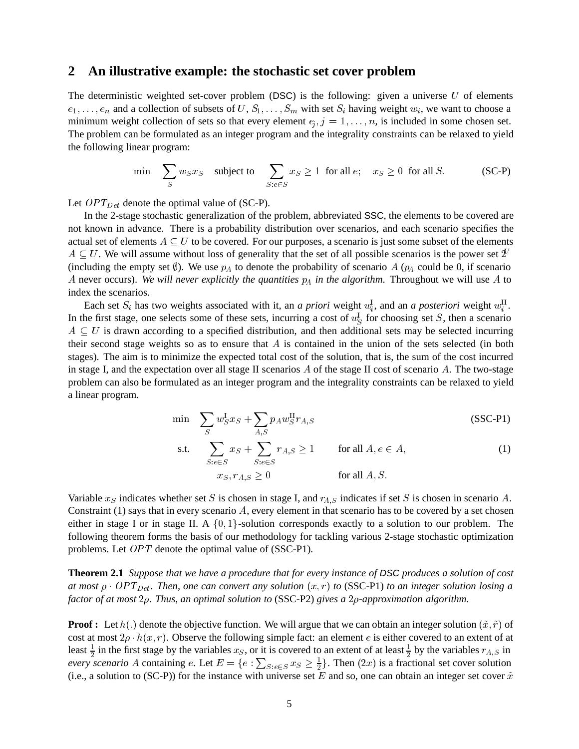### **2 An illustrative example: the stochastic set cover problem**

The deterministic weighted set-cover problem (DSC) is the following: given a universe  $U$  of elements  $e_1, \ldots, e_n$  and a collection of subsets of  $U, S_1, \ldots, S_m$  with set  $S_i$  having weight  $w_i$ , we want to choose a minimum weight collection of sets so that every element  $e_j$ ,  $j = 1, \ldots, n$ , is included in some chosen set. The problem can be formulated as an integer program and the integrality constraints can be relaxed to yield the following linear program:

$$
\min \quad \sum_{S} w_{S} x_{S} \quad \text{subject to} \quad \sum_{S: e \in S} x_{S} \ge 1 \text{ for all } e; \quad x_{S} \ge 0 \text{ for all } S. \tag{SC-P}
$$

Let  $OPT_{Det}$  denote the optimal value of (SC-P).

In the 2-stage stochastic generalization of the problem, abbreviated SSC, the elements to be covered are not known in advance. There is a probability distribution over scenarios, and each scenario specifies the actual set of elements  $A \subseteq U$  to be covered. For our purposes, a scenario is just some subset of the elements  $A \subseteq U$ . We will assume without loss of generality that the set of all possible scenarios is the power set  $2^{\ell}$ (including the empty set  $\emptyset$ ). We use  $p_A$  to denote the probability of scenario A ( $p_A$  could be 0, if scenario A never occurs). We will never explicitly the quantities  $p_A$  in the algorithm. Throughout we will use  $A$  to index the scenarios.

Each set  $S_i$  has two weights associated with it, an *a priori* weight  $w_i^1$ , and an *a posteriori* weight  $w_i^{\text{II}}$ . In the first stage, one selects some of these sets, incurring a cost of  $u_S^{\dagger}$  for choosing set *S*, then a scenario  $\hat{A} \subseteq U$  is drawn according to a specified distribution, and then additional sets may be selected incurring their second stage weights so as to ensure that  $A$  is contained in the union of the sets selected (in both stages). The aim is to minimize the expected total cost of the solution, that is, the sum of the cost incurred in stage I, and the expectation over all stage II scenarios  $A$  of the stage II cost of scenario  $A$ . The two-stage problem can also be formulated as an integer program and the integrality constraints can be relaxed to yield a linear program.

$$
\min \quad \sum_{S} w_S^{\text{I}} x_S + \sum_{A,S} p_A w_S^{\text{II}} r_{A,S} \tag{SSC-P1}
$$

s.t. 
$$
\sum_{S: e \in S} x_S + \sum_{S: e \in S} r_{A,S} \ge 1 \quad \text{for all } A, e \in A,
$$
  
\n
$$
x_S, r_{A,S} \ge 0 \quad \text{for all } A, S.
$$
 (1)

Variable  $x_S$  indicates whether set S is chosen in stage I, and  $r_{A,S}$  indicates if set S is chosen in scenario A. Constraint  $(1)$  says that in every scenario A, every element in that scenario has to be covered by a set chosen either in stage I or in stage II. A  $\{0, 1\}$ -solution corresponds exactly to a solution to our problem. The following theorem forms the basis of our methodology for tackling various 2-stage stochastic optimization problems. Let  $OPT$  denote the optimal value of (SSC-P1).

**Theorem 2.1** *Suppose that we have a procedure that for every instance of DSC produces a solution of cost* at most  $\rho$   $\cdot$  OPT<sub>Det</sub>. Then, one can convert any solution  $(x, r)$  to (SSC-P1) to an integer solution losing a *factor of at most*  $2\rho$ . *Thus, an optimal solution to* (SSC-P2) *gives a*  $2\rho$ -*approximation algorithm.* 

**Proof :** Let  $h(.)$  denote the objective function. We will argue that we can obtain an integer solution  $(\tilde{x}, \tilde{r})$  of cost at most  $2\rho \cdot h(x,r)$ . Observe the following simple fact: an element e is either covered to an extent of at least  $\frac{1}{2}$  in the first stage by the variables  $x_S$ , or it is covered to an extent of at least  $\frac{1}{2}$  by the variables  $r_{A,S}$  in *every scenario* A containing e. Let  $E = \{e : \sum_{S: e \in S} x_S \ge \frac{1}{2}\}\.$  Then  $(2x)$  is a fractional set cover solution (i.e., a solution to (SC-P)) for the instance with universe set E and so, one can obtain an integer set cover  $\tilde{x}$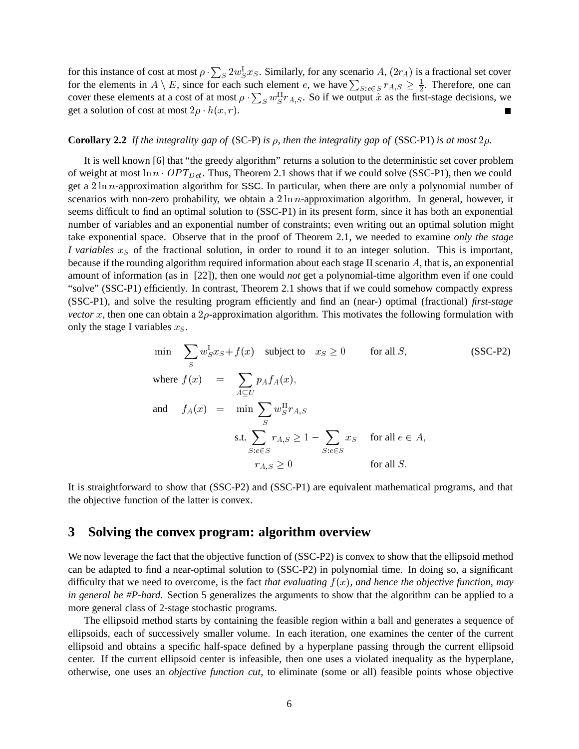for this instance of cost at most  $\rho \cdot \sum_S 2w_S^1 x_S$ . Similarly, for any scenario A,  $(2r_A)$  is a fractional set cover for the elements in  $A \setminus E$ , since for each such element e, we have  $\sum_{S: e \in S} r_{A,S} \geq \frac{1}{2}$ . Therefore, one can cover these elements at a cost of at most  $\rho \cdot \sum_S w_S^{\Pi} r_{A,S}$ . So if we output  $\tilde{x}$  as the first-stage decisions, we get a solution of cost at most  $2\rho \cdot h(x,r)$ .

#### **Corollary 2.2** *If the integrality gap of* (SC-P) *is*  $\rho$ , *then the integrality gap of* (SSC-P1) *is at most* 2 $\rho$ .

It is well known [6] that "the greedy algorithm" returns a solution to the deterministic set cover problem of weight at most  $\ln n \cdot OPT_{Det}$ . Thus, Theorem 2.1 shows that if we could solve (SSC-P1), then we could get a  $2 \ln n$ -approximation algorithm for SSC. In particular, when there are only a polynomial number of scenarios with non-zero probability, we obtain a  $2 \ln n$ -approximation algorithm. In general, however, it seems difficult to find an optimal solution to (SSC-P1) in its present form, since it has both an exponential number of variables and an exponential number of constraints; even writing out an optimal solution might take exponential space. Observe that in the proof of Theorem 2.1, we needed to examine *only the stage I variables*  $x<sub>S</sub>$  of the fractional solution, in order to round it to an integer solution. This is important, because if the rounding algorithm required information about each stage II scenario  $\hat{A}$ , that is, an exponential amount of information (as in [22]), then one would *not* get a polynomial-time algorithm even if one could "solve" (SSC-P1) efficiently. In contrast, Theorem 2.1 shows that if we could somehow compactly express (SSC-P1), and solve the resulting program efficiently and find an (near-) optimal (fractional) *first-stage vector* x, then one can obtain a  $2\rho$ -approximation algorithm. This motivates the following formulation with only the stage I variables  $x_S$ .

$$
\min \sum_{S} w_{S}^{I} x_{S} + f(x) \quad \text{subject to} \quad x_{S} \ge 0 \qquad \text{for all } S,
$$
\n
$$
\text{where } f(x) = \sum_{A \subseteq U} p_{A} f_{A}(x),
$$
\n
$$
\text{and} \quad f_{A}(x) = \min \sum_{S} w_{S}^{II} r_{A,S}
$$
\n
$$
\text{s.t.} \sum_{S: e \in S} r_{A,S} \ge 1 - \sum_{S: e \in S} x_{S} \quad \text{for all } e \in A,
$$
\n
$$
r_{A,S} \ge 0 \qquad \text{for all } S.
$$
\n
$$
(SSC-P2)
$$

It is straightforward to show that (SSC-P2) and (SSC-P1) are equivalent mathematical programs, and that the objective function of the latter is convex.

# **3 Solving the convex program: algorithm overview**

We now leverage the fact that the objective function of (SSC-P2) is convex to show that the ellipsoid method can be adapted to find a near-optimal solution to (SSC-P2) in polynomial time. In doing so, a significant difficulty that we need to overcome, is the fact *that evaluating*  $f(x)$ *, and hence the objective function, may in general be #P-hard*. Section 5 generalizes the arguments to show that the algorithm can be applied to a more general class of 2-stage stochastic programs.

The ellipsoid method starts by containing the feasible region within a ball and generates a sequence of ellipsoids, each of successively smaller volume. In each iteration, one examines the center of the current ellipsoid and obtains a specific half-space defined by a hyperplane passing through the current ellipsoid center. If the current ellipsoid center is infeasible, then one uses a violated inequality as the hyperplane, otherwise, one uses an *objective function cut*, to eliminate (some or all) feasible points whose objective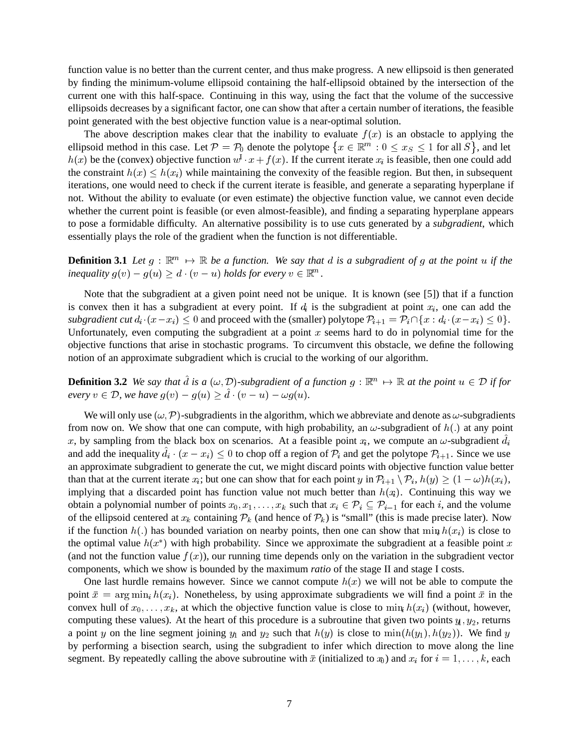function value is no better than the current center, and thus make progress. A new ellipsoid is then generated by finding the minimum-volume ellipsoid containing the half-ellipsoid obtained by the intersection of the current one with this half-space. Continuing in this way, using the fact that the volume of the successive ellipsoids decreases by a significant factor, one can show that after a certain number of iterations, the feasible point generated with the best objective function value is a near-optimal solution.

The above description makes clear that the inability to evaluate  $f(x)$  is an obstacle to applying the ellipsoid method in this case. Let  $P = P_0$  denote the polytope  $\{x \in \mathbb{R}^m : 0 \le x_S \le 1 \text{ for all } S\}$ , and let  $h(x)$  be the (convex) objective function  $w<sup>1</sup> \cdot x + f(x)$ . If the current iterate  $x<sub>i</sub>$  is feasible, then one could add the constraint  $h(x) \leq h(x_i)$  while maintaining the convexity of the feasible region. But then, in subsequent iterations, one would need to check if the current iterate is feasible, and generate a separating hyperplane if not. Without the ability to evaluate (or even estimate) the objective function value, we cannot even decide whether the current point is feasible (or even almost-feasible), and finding a separating hyperplane appears to pose a formidable difficulty. An alternative possibility is to use cuts generated by a *subgradient*, which essentially plays the role of the gradient when the function is not differentiable.

**Definition 3.1** Let  $g : \mathbb{R}^m \to \mathbb{R}$  be a function. We say that d is a subgradient of g at the point u if the *inequality*  $g(v) - g(u) \ge d \cdot (v - u)$  *holds for every*  $v \in \mathbb{R}^m$ .

Note that the subgradient at a given point need not be unique. It is known (see [5]) that if a function is convex then it has a subgradient at every point. If  $d_i$  is the subgradient at point  $x_i$ , one can add the *subgradient cut*  $d_i \cdot (x - x_i) \leq 0$  and proceed with the (smaller) polytope  $\mathcal{P}_{i+1} = \mathcal{P}_i \cap \{x : d_i \cdot (x - x_i) \leq 0\}$ . Unfortunately, even computing the subgradient at a point  $x$  seems hard to do in polynomial time for the objective functions that arise in stochastic programs. To circumvent this obstacle, we define the following notion of an approximate subgradient which is crucial to the working of our algorithm.

**Definition 3.2** We say that d is a  $(\omega, \mathcal{D})$ -subgradient of a function  $g : \mathbb{R}^m \mapsto \mathbb{R}$  at the point  $u \in \mathcal{D}$  if for *every*  $v \in \mathcal{D}$ , we have  $g(v) - g(u) \geq d \cdot (v - u) - \omega g(u)$ .

We will only use  $(\omega, \mathcal{P})$ -subgradients in the algorithm, which we abbreviate and denote as  $\omega$ -subgradients from now on. We show that one can compute, with high probability, an  $\omega$ -subgradient of  $h(.)$  at any point x, by sampling from the black box on scenarios. At a feasible point  $x_i$ , we compute an  $\omega$ -subgradient  $d_i$ and add the inequality  $d_i \cdot (x - x_i) \leq 0$  to chop off a region of  $\mathcal{P}_i$  and get the polytope  $\mathcal{P}_{i+1}$ . Since we use an approximate subgradient to generate the cut, we might discard points with objective function value better than that at the current iterate  $x_i$ ; but one can show that for each point  $y$  in  $\mathcal{P}_{i+1} \setminus \mathcal{P}_i$ ,  $h(y) \geq (1 - \omega)h(x_i)$ , implying that a discarded point has function value not much better than  $h(x_i)$ . Continuing this way we obtain a polynomial number of points  $x_0, x_1, \ldots, x_k$  such that  $x_i \in \mathcal{P}_i \subseteq \mathcal{P}_{i-1}$  for each i, and the volume of the ellipsoid centered at  $x_k$  containing  $\mathcal{P}_k$  (and hence of  $\mathcal{P}_k$ ) is "small" (this is made precise later). Now if the function  $h(.)$  has bounded variation on nearby points, then one can show that  $\min_i h(x_i)$  is close to the optimal value  $h(x^*)$  with high probability. Since we approximate the subgradient at a feasible point x (and not the function value  $f(x)$ ), our running time depends only on the variation in the subgradient vector components, which we show is bounded by the maximum *ratio* of the stage II and stage I costs.

One last hurdle remains however. Since we cannot compute  $h(x)$  we will not be able to compute the point  $\bar{x} = \arg \min_i h(x_i)$ . Nonetheless, by using approximate subgradients we will find a point  $\bar{x}$  in the convex hull of  $x_0, \ldots, x_k$ , at which the objective function value is close to  $\min_i h(x_i)$  (without, however, computing these values). At the heart of this procedure is a subroutine that given two points  $y_1, y_2$ , returns a point y on the line segment joining  $y_1$  and  $y_2$  such that  $h(y)$  is close to  $\min(h(y_1), h(y_2))$ . We find y by performing a bisection search, using the subgradient to infer which direction to move along the line segment. By repeatedly calling the above subroutine with  $\bar{x}$  (initialized to  $x_0$ ) and  $x_i$  for  $i = 1, \ldots, k$ , each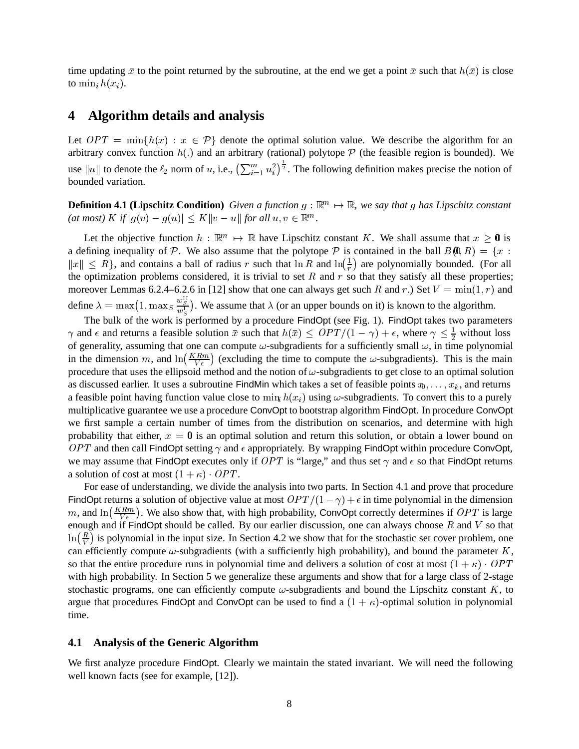time updating  $\bar{x}$  to the point returned by the subroutine, at the end we get a point  $\bar{x}$  such that  $h(\bar{x})$  is close to  $\min_i h(x_i)$ .

### **4 Algorithm details and analysis**

Let  $OPT = min\{h(x) : x \in \mathcal{P}\}\$  denote the optimal solution value. We describe the algorithm for an arbitrary convex function  $h(.)$  and an arbitrary (rational) polytope  $P$  (the feasible region is bounded). We use  $||u||$  to denote the  $\ell_2$  norm of u, i.e.,  $(\sum_{i=1}^m u_i^2)^{\frac{1}{2}}$ . The following definition makes precise the notion of bounded variation.

**Definition 4.1 (Lipschitz Condition)** Given a function  $g : \mathbb{R}^m \mapsto \mathbb{R}$ , we say that g has Lipschitz constant  $f(at \text{ most}) \text{ } K \text{ if } |g(v) - g(u)| \leq K ||v - u|| \text{ for all } u, v \in \mathbb{R}^m.$ 

Let the objective function  $h : \mathbb{R}^m \to \mathbb{R}$  have Lipschitz constant K. We shall assume that  $x \geq 0$  is a defining inequality of P. We also assume that the polytope P is contained in the ball  $B(0,R) = \{x :$  $||x|| \le R$ , and contains a ball of radius r such that  $\ln R$  and  $\ln(\frac{1}{r})$  are polynomially bounded. (For all the optimization problems considered, it is trivial to set R and  $r$  so that they satisfy all these properties; moreover Lemmas 6.2.4–6.2.6 in [12] show that one can always get such R and r.) Set  $V = min(1, r)$  and define  $\lambda = \max(1, \max_{s \in \mathcal{S} \atop w_s} s)$ . We assume that  $\lambda$  (or an upper bounds on it) is known to the algorithm.

The bulk of the work is performed by a procedure FindOpt (see Fig. 1). FindOpt takes two parameters  $\gamma$  and  $\epsilon$  and returns a feasible solution  $\bar{x}$  such that  $h(\bar{x}) \leq OPT/(1-\gamma) + \epsilon$ , where  $\gamma \leq \frac{1}{2}$  without loss of generality, assuming that one can compute  $\omega$ -subgradients for a sufficiently small  $\omega$ , in time polynomial in the dimension m, and  $\ln(\frac{KRm}{V\epsilon})$  (excluding the time to compute the  $\omega$ -subgradients). This is the main procedure that uses the ellipsoid method and the notion of  $\omega$ -subgradients to get close to an optimal solution as discussed earlier. It uses a subroutine FindMin which takes a set of feasible points  $x_0, \ldots, x_k$ , and returns a feasible point having function value close to  $\min_i h(x_i)$  using  $\omega$ -subgradients. To convert this to a purely multiplicative guarantee we use a procedure ConvOpt to bootstrap algorithm FindOpt. In procedure ConvOpt we first sample a certain number of times from the distribution on scenarios, and determine with high probability that either,  $x = 0$  is an optimal solution and return this solution, or obtain a lower bound on OPT and then call FindOpt setting  $\gamma$  and  $\epsilon$  appropriately. By wrapping FindOpt within procedure ConvOpt, we may assume that FindOpt executes only if  $OPT$  is "large," and thus set  $\gamma$  and  $\epsilon$  so that FindOpt returns a solution of cost at most  $(1 + \kappa) \cdot OPT$ . .

For ease of understanding, we divide the analysis into two parts. In Section 4.1 and prove that procedure FindOpt returns a solution of objective value at most  $OPT/(1 - \gamma) + \epsilon$  in time polynomial in the dimension m, and  $\ln\left(\frac{KRm}{V\epsilon}\right)$ . We also show that, with high probability, ConvOpt correctly determines if  $OPT$  is large enough and if FindOpt should be called. By our earlier discussion, one can always choose  $R$  and  $V$  so that  $\ln(\frac{R}{V})$  is polynomial in the input size. In Section 4.2 we show that for the stochastic set cover problem, one can efficiently compute  $\omega$ -subgradients (with a sufficiently high probability), and bound the parameter  $K$ , so that the entire procedure runs in polynomial time and delivers a solution of cost at most  $(1 + \kappa) \cdot OPT$ with high probability. In Section 5 we generalize these arguments and show that for a large class of 2-stage stochastic programs, one can efficiently compute  $\omega$ -subgradients and bound the Lipschitz constant K, to argue that procedures FindOpt and ConvOpt can be used to find a  $(1 + \kappa)$ -optimal solution in polynomial time.

#### **4.1 Analysis of the Generic Algorithm**

We first analyze procedure FindOpt. Clearly we maintain the stated invariant. We will need the following well known facts (see for example, [12]).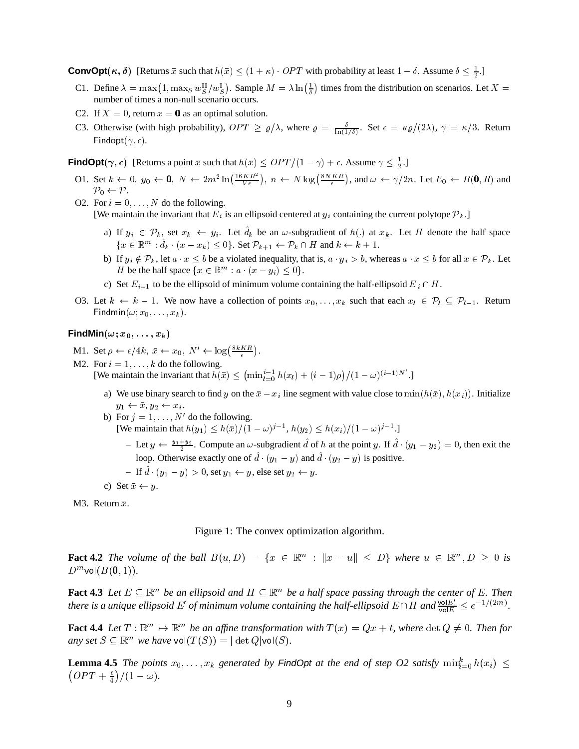**ConvOpt** $(\kappa, \delta)$  [Returns  $\bar{x}$  such that  $h(\bar{x}) \leq (1 + \kappa) \cdot OPT$  with probability at least  $1 - \delta$ . Assume  $\delta \leq \frac{1}{2}$ .]

- C1. Define  $\lambda = \max(1, \max_S w_S^H/w_S^L)$ . Sample  $M = \lambda \ln(\frac{1}{\delta})$  times from the distribution on scenarios. Let  $X =$  number of times a non-null scenario occurs.
- C2. If  $X = 0$ , return  $x = 0$  as an optimal solution.
- C3. Otherwise (with high probability),  $OPT \ge \varrho/\lambda$ , where  $\varrho = \frac{\delta}{\ln(1/\delta)}$ . Set  $\epsilon = \kappa \varrho/(2\lambda)$ ,  $\gamma = \kappa/3$ . Return Findopt $(\gamma,\epsilon).$

**FindOpt** $(\gamma, \epsilon)$  [Returns a point  $\bar{x}$  such that  $h(\bar{x}) \leq OPT/(1 - \gamma) + \epsilon$ . Assume  $\gamma \leq \frac{1}{2}$ .]

- O1. Set  $k \leftarrow 0$ ,  $y_0 \leftarrow 0$ ,  $N \leftarrow 2m^2 \ln\left(\frac{16KR^2}{V\epsilon}\right)$ ,  $n \leftarrow N \log\left(\frac{8NKR}{\epsilon}\right)$ , and  $\omega \leftarrow \gamma/2n$ . Let  $E_0 \leftarrow B(0, R)$  and  $\mathcal{P}_0 \leftarrow \mathcal{P}.$
- O2. For  $i = 0, \ldots, N$  do the following. [We maintain the invariant that  $E_i$  is an ellipsoid centered at  $y_i$  containing the current polytope  $\mathcal{P}_k$ .]
	- a) If  $y_i \in \mathcal{P}_k$ , set  $x_k \leftarrow y_i$ . Let  $d_k$  be an  $\omega$ -subgradient of  $h(.)$  at  $x_k$ . Let H denote the half space  $\{x \in \mathbb{R}^m : d_{k} \cdot (x - x_k) \leq 0\}$ . Set  $\mathcal{P}_{k+1} \leftarrow \mathcal{P}_k \cap H$  and  $k \leftarrow k+1$ .
	- b) If  $y_i \notin \mathcal{P}_k$ , let  $a \cdot x \leq b$  be a violated inequality, that is,  $a \cdot y_i > b$ , whereas  $a \cdot x \leq b$  for all  $x \in \mathcal{P}_k$ . Let H be the half space  $\{x \in \mathbb{R}^m : a \cdot (x - y_i) \leq 0\}.$
	- c) Set  $E_{i+1}$  to be the ellipsoid of minimum volume containing the half-ellipsoid  $E_i \cap H$ .
- O3. Let  $k \leftarrow k-1$ . We now have a collection of points  $x_0, \ldots, x_k$  such that each  $x_i \in \mathcal{P}_l \subseteq \mathcal{P}_{l-1}$ . Return  $\mathsf{Findmin}(\omega; x_0, \ldots, x_k).$

 $\mathsf{FindMin}(\omega; x_0, \ldots, x_k)$ 

M1. Set  $\rho \leftarrow \epsilon/4k$ ,  $\bar{x} \leftarrow x_0$ ,  $N' \leftarrow \log(\frac{8kKR}{\epsilon})$ .

M2. For  $i = 1, \ldots, k$  do the following. [We maintain the invariant that  $h(\bar{x}) \le (\min_{l=0}^{i-1} h(x_l) + (i-1)\rho)/(1-\omega)^{(i-1)N'}$ .]

- a) We use binary search to find y on the  $\bar{x} x_i$  line segment with value close to  $\min(h(\bar{x}), h(x_i))$ . Initialize  $y_1 \leftarrow \bar{x}, y_2 \leftarrow x_i.$
- b) For  $j = 1, \ldots, N'$  do the following. [We maintain that  $h(y_1) \leq h(\bar{x})/(1-\omega)^{j-1}, h(y_2) \leq h(x_i)/(1-\omega)^{j-1}$ .] - Let  $y \leftarrow \frac{y_1+y_2}{2}$ . Compute an  $\omega$ -subgradient d of h at the point y. If  $d \cdot (y_1-y_2) = 0$ , then exit the
	- loop. Otherwise exactly one of  $\hat{d} \cdot (y_1 y)$  and  $\hat{d} \cdot (y_2 y)$  is positive.
	- If  $d \cdot (y_1 y) > 0$ , set  $y_1 \leftarrow y$ , else set  $y_2 \leftarrow y$ .
- c) Set  $\bar{x} \leftarrow y$ .

M3. Return  $\bar{x}$ .

Figure 1: The convex optimization algorithm.

**Fact 4.2** The volume of the ball  $B(u, D) = \{x \in \mathbb{R}^m : ||x - u|| \leq D\}$  where  $u \in \mathbb{R}^m, D \geq 0$  is  $D^m$ vol $(B({\bf 0},1)).$ 

**Fact 4.3** Let  $E \subseteq \mathbb{R}^m$  be an ellipsoid and  $H \subseteq \mathbb{R}^m$  be a half space passing through the center of E. Then *there is a unique ellipsoid*  $E'$  *of minimum volume containing the half-ellipsoid*  $E \cap H$  and  $\frac{\text{vol}E}{\text{vol}E} \leq e^{-1/(2m)}$ .

-

**Fact 4.4** Let  $T : \mathbb{R}^m \to \mathbb{R}^m$  be an affine transformation with  $T(x) = Qx + t$ , where  $\det Q \neq 0$ . Then for *any set*  $S \subseteq \mathbb{R}^m$  *we have*  $\mathsf{vol}(T(S)) = |\det Q| \mathsf{vol}(S)$ *.* 

**Lemma 4.5** *The points*  $x_0, \ldots, x_k$  generated by **FindOpt** at the end of step O2 satisfy  $\min_{i=0}^k h(x_i) \leq$  $\left(OPT+\frac{\epsilon}{4}\right)/(1-\omega).$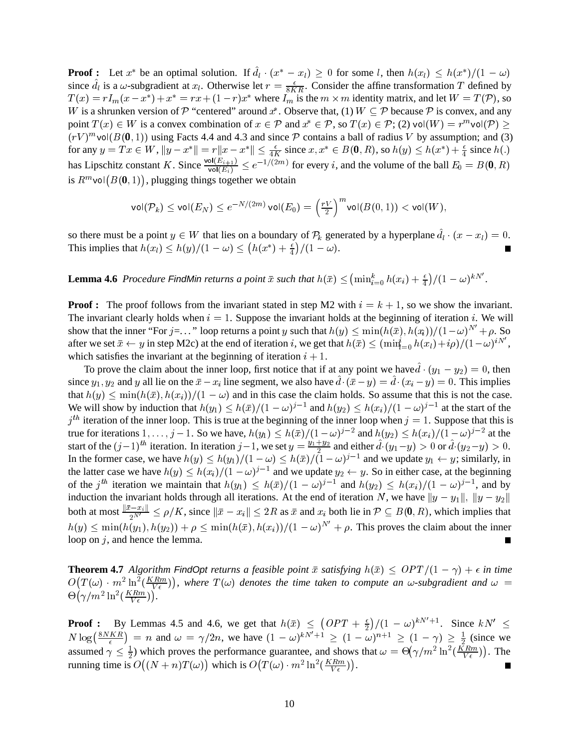**Proof :** Let  $x^*$  be an optimal solution. If  $d_l \cdot (x^* - x_l) \geq 0$  for some l, then  $h(x_l) \leq h(x^*)/(1 - \omega)$ since  $d_l$  is a  $\omega$ -subgradient at  $x_l$ . Otherwise let  $r = \frac{\epsilon}{8KR}$ . Consider the affine transformation T defined by  $T(x) = rI_m(x - x^*) + x^* = rx + (1 - r)x^*$  where  $I_m$  is the  $m \times m$  identity matrix, and let  $W = T(\mathcal{P})$ , so W is a shrunken version of P "centered" around  $x^*$ . Observe that, (1)  $W \subseteq \mathcal{P}$  because  $\mathcal{P}$  is convex, and any point  $T(x) \in W$  is a convex combination of  $x \in \mathcal{P}$  and  $x^* \in \mathcal{P}$ , so  $T(x) \in \mathcal{P}$ ; (2) vol $(W) = r^m$ vol $(\mathcal{P}) \ge$  $(rV)^{m}$ vol $(B(0, 1))$  using Facts 4.4 and 4.3 and since  $P$  contains a ball of radius V by assumption; and (3) for any  $y = Tx \in W$ ,  $||y - x^*|| = r||x - x^*|| \le \frac{\epsilon}{4K}$  since  $x, x^* \in B(0, R)$ , so  $h(y) \le h(x^*) + \frac{\epsilon}{4}$  since  $h(.)$ has Lipschitz constant K. Since  $\frac{{\sf vol}(E_{i+1})}{{\sf vol}(E_i)} \leq e^{-\frac{1}{2}}$  $\frac{\partial f(E_{i+1})}{\partial f(E_i)} \leq e^{-1/(2m)}$  for every i, and the volume of the ball  $E_0 = B(0,R)$ is  $R^m$ vol $(B({\bf 0},1))$ , plugging things together we obtain

$$
\mathsf{vol}(\mathcal{P}_k) \le \mathsf{vol}(E_N) \le e^{-N/(2m)} \mathsf{vol}(E_0) = \left(\tfrac{rV}{2}\right)^m \mathsf{vol}(B(0,1)) < \mathsf{vol}(W),
$$

so there must be a point  $y \in W$  that lies on a boundary of  $P_k$  generated by a hyperplane  $d_l \cdot (x - x_l) = 0$ . This implies that  $h(x_l) \leq h(y)/(1-\omega) \leq (h(x^*) + \frac{\epsilon}{4})/(1-\omega)$ .

**Lemma 4.6** Procedure FindMin returns a point  $\bar{x}$  such that  $h(\bar{x}) \leq (\min_{i=0}^k h(x_i) + \frac{\epsilon}{4})/(1 - \omega)^{kN'}$ .

**Proof :** The proof follows from the invariant stated in step M2 with  $i = k + 1$ , so we show the invariant. The invariant clearly holds when  $i = 1$ . Suppose the invariant holds at the beginning of iteration i. We will show that the inner "For  $j = \ldots$ " loop returns a point y such that  $h(y) \le \min(h(\bar{x}), h(\bar{x}_i))/(1-\omega)^{N'} + \rho$ . So after we set  $\bar{x} \leftarrow y$  in step M2c) at the end of iteration i, we get that  $h(\bar{x}) \le (\min_{i=0}^{\infty} h(x_i) + i\rho)/(1-\omega)^{iN}$ , which satisfies the invariant at the beginning of iteration  $i + 1$ .

To prove the claim about the inner loop, first notice that if at any point we have  $d \cdot (y_1 - y_2) = 0$ , then since  $y_1, y_2$  and y all lie on the  $\bar{x} - x_i$  line segment, we also have  $d \cdot (\bar{x} - y) = d \cdot (x_i - y) = 0$ . This implies that  $h(y) \le \min(h(\bar{x}), h(x_i))/(1 - \omega)$  and in this case the claim holds. So assume that this is not the case. We will show by induction that  $h(y_1) \leq h(\bar{x})/(1-\omega)^{j-1}$  and  $h(y_2) \leq h(x_i)/(1-\omega)^{j-1}$  at the start of the  $j<sup>th</sup>$  iteration of the inner loop. This is true at the beginning of the inner loop when  $j = 1$ . Suppose that this is true for iterations  $1, \ldots, j-1$ . So we have,  $h(y_1) \leq h(\bar{x})/(1-\omega)^{j-2}$  and  $h(y_2) \leq h(x_i)/(1-\omega)^{j-2}$  at the start of the  $(j-1)^{th}$  iteration. In iteration  $j-1$ , we set  $y=\frac{y_1+y_2}{2}$  and either  $d \cdot (y_1-y) > 0$  or  $d \cdot (y_2-y) > 0$ . In the former case, we have  $h(y) \leq h(y_1)/(1-\omega) \leq h(\bar{x})/(1-\omega)^{j-1}$  and we update  $y_1 \leftarrow y$ ; similarly, in the latter case we have  $h(y) \leq h(x_i)/(1-\omega)^{j-1}$  and we update  $y_2 \leftarrow y$ . So in either case, at the beginning of the  $j^{th}$  iteration we maintain that  $h(y_1) \leq h(\bar{x})/(1-\omega)^{j-1}$  and  $h(y_2) \leq h(x_i)/(1-\omega)^{j-1}$ , and by induction the invariant holds through all iterations. At the end of iteration N, we have  $||y - y_1||$ ,  $||y - y_2||$ both at most  $\frac{||x-x_i||}{||x-x_i||} \leq \rho/K$ , since  $\|\bar{x}-x_i\| \leq 2R$  as  $\bar{x}$  and  $x_i$  both lie in  $\mathcal{P} \subseteq B(0,R)$ , which implies that  $h(y) \leq \min(h(y_1), h(y_2)) + \rho \leq \min(h(\bar{x}), h(x_i)) / (1 - \omega)^{N'} + \rho$ . This proves the claim about the inner loop on  $j$ , and hence the lemma. ٠

**Theorem 4.7** Algorithm FindOpt returns a feasible point  $\bar{x}$  satisfying  $h(\bar{x}) \leq \text{OPT}/(1 - \gamma) + \epsilon$  in time  $O(T(\omega) \cdot m^2 \ln^2(\frac{K R m}{V \epsilon}))$ , where  $T(\omega)$  denotes the time taken to compute an  $\omega$ -subgradient and  $\omega$  =  $\Theta\big(\gamma/m^2\ln^2(\frac{KRm}{V\epsilon})\big).$ 

**Proof :** By Lemmas 4.5 and 4.6, we get that  $h(\bar{x}) \le (OPT + \frac{\epsilon}{2})/(1 - \omega)^{kN+1}$ . Since  $kN' \le$  $N \log\left(\frac{8NKR}{\epsilon}\right) = n$  and  $\omega = \gamma/2n$ , we have  $(1 - \omega)^{kN'+1} \ge (1 - \omega)^{n+1} \ge (1 - \gamma) \ge \frac{1}{2}$  (since we assumed  $\gamma \leq \frac{1}{2}$ ) which proves the performance guarantee, and shows that  $\omega = \Theta(\gamma/m^2 \ln^2(\frac{K R m}{V \epsilon}))$ . The running time is  $O((N + n)T(\omega))$  which is  $O(T(\omega) \cdot m^2 \ln^2(\frac{K R m}{V \epsilon}))$ .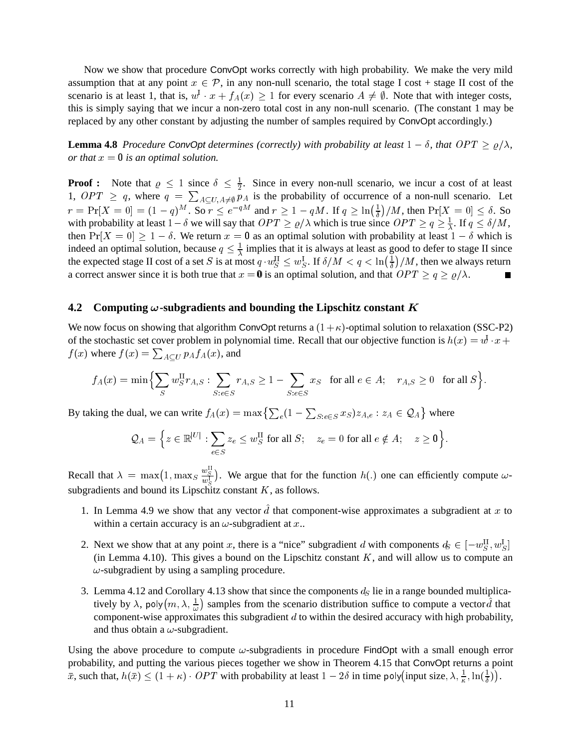Now we show that procedure ConvOpt works correctly with high probability. We make the very mild assumption that at any point  $x \in \mathcal{P}$ , in any non-null scenario, the total stage I cost + stage II cost of the scenario is at least 1, that is,  $w^1 \cdot x + f_A(x) \ge 1$  for every scenario  $A \ne \emptyset$ . Note that with integer costs, this is simply saying that we incur a non-zero total cost in any non-null scenario. (The constant 1 may be replaced by any other constant by adjusting the number of samples required by ConvOpt accordingly.)

**Lemma 4.8** *Procedure* ConvOpt *determines (correctly) with probability at least*  $1 - \delta$ , that  $OPT \ge \varrho/\lambda$ , *or that*  $x = 0$  *is an optimal solution.* 

**Proof :** Note that  $\varrho \leq 1$  since  $\delta \leq \frac{1}{2}$ . Since in every non-null scenario, we incur a cost of at least 1,  $OPT \geq q$ , where  $q = \sum_{A \subset U, A \neq \emptyset} p_A$  is the probability of occurrence of a non-null scenario. Let  $r = \Pr[X=0] = (1-q)^M$ . So  $r \le e^{-qM}$  and  $r \ge 1-qM$ . If  $q \ge \ln(\frac{1}{\delta})/M$ , then  $\Pr[X=0] \le \delta$ . So with probability at least  $1-\delta$  we will say that  $OPT \ge \varrho/\lambda$  which is true since  $OPT \ge q \ge \frac{1}{\lambda}$ . If  $q \le \delta/M$ , then  $Pr[X = 0] \ge 1 - \delta$ . We return  $x = 0$  as an optimal solution with probability at least  $1 - \delta$  which is indeed an optimal solution, because  $q \leq \frac{1}{\lambda}$  implies that it is always at least as good to defer to stage II since the expected stage II cost of a set S is at most  $q \cdot w_S^{\text{II}} \leq w_S^{\text{I}}$ . If  $\delta/M < q < \ln\left(\frac{1}{\delta}\right)/M$ , then we always return a correct answer since it is both true that  $x = 0$  is an optimal solution, and that  $OPT \ge q \ge \varrho/\lambda$ .

#### **4.2** Computing  $\omega$ -subgradients and bounding the Lipschitz constant K

We now focus on showing that algorithm ConvOpt returns a  $(1+\kappa)$ -optimal solution to relaxation (SSC-P2) of the stochastic set cover problem in polynomial time. Recall that our objective function is  $h(x) = w \cdot x +$  $f(x)$  where  $f(x) = \sum_{A \subset U} p_A f_A(x)$ , and

$$
f_A(x)=\min\Bigl\{\sum_S w_S^{\text{II}} r_{A,S}: \sum_{S: e\in S} r_{A,S} \geq 1-\sum_{S: e\in S} x_S \text{~~for all~} e\in A; \quad r_{A,S}\geq 0 \text{~~for all~} S\Bigr\}.
$$

By taking the dual, we can write  $f_A(x) = \max\left\{\sum_e(1 - \sum_{S: e \in S} x_S)z_{A,e}: z_A \in \mathcal{Q}_A\right\}$  where where

$$
\mathcal{Q}_A = \Big\{ z \in \mathbb{R}^{|U|} : \sum_{e \in S} z_e \leq w_S^{\text{II}} \text{ for all } S; \quad z_e = 0 \text{ for all } e \notin A; \quad z \geq \mathbf{0} \Big\}.
$$

Recall that  $\lambda = \max(1, \max_{S} \frac{w_S^2}{w_S^1})$ . We argue that for the function  $h(.)$  one can efficiently compute  $\omega$ subgradients and bound its Lipschitz constant  $K$ , as follows.

- 1. In Lemma 4.9 we show that any vector  $d$  that component-wise approximates a subgradient at  $x$  to within a certain accuracy is an  $\omega$ -subgradient at x..
- 2. Next we show that at any point x, there is a "nice" subgradient d with components  $d_S \in [-w_S^{\text{II}}, w_S^{\text{I}}]$ (in Lemma 4.10). This gives a bound on the Lipschitz constant  $K$ , and will allow us to compute an  $\omega$ -subgradient by using a sampling procedure.
- 3. Lemma 4.12 and Corollary 4.13 show that since the components  $d<sub>S</sub>$  lie in a range bounded multiplicatively by  $\lambda$ , poly $(m, \lambda, \frac{1}{\omega})$  samples from the scenario distribution suffice to compute a vector d that component-wise approximates this subgradient  $d$  to within the desired accuracy with high probability, and thus obtain a  $\omega$ -subgradient.

Using the above procedure to compute  $\omega$ -subgradients in procedure FindOpt with a small enough error probability, and putting the various pieces together we show in Theorem 4.15 that ConvOpt returns a point  $\bar{x}$ , such that,  $h(\bar{x}) \leq (1 + \kappa) \cdot OPT$  with probability at least  $1 - 2\delta$  in time poly(input size,  $\lambda$ ,  $\frac{1}{\kappa}$ ,  $\ln(\frac{1}{\delta})$ ).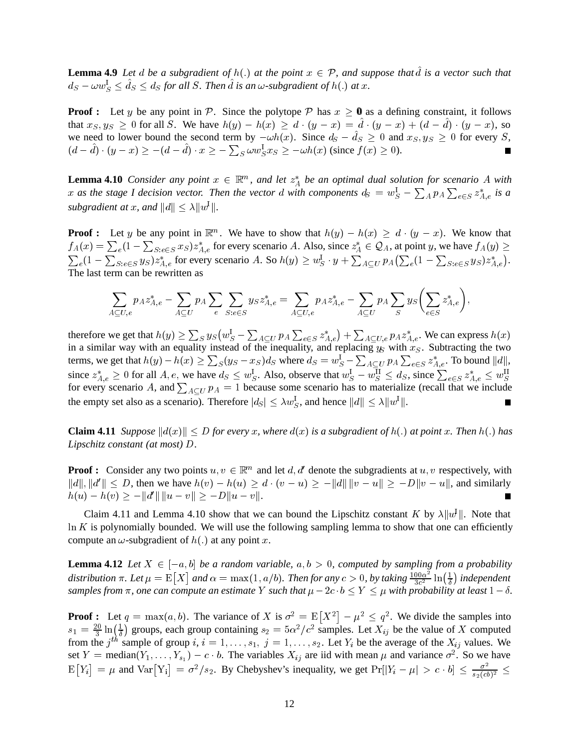**Lemma 4.9** Let *d* be a subgradient of  $h(.)$  at the point  $x \in \mathcal{P}$ , and suppose that  $\hat{d}$  is a vector such that  $d_S - \omega w_S^1 \leq d_S \leq d_S$  for all S. Then  $d$  is an  $\omega$ -subgradient of  $h(.)$  at  $x$ .

**Proof :** Let y be any point in P. Since the polytope P has  $x \ge 0$  as a defining constraint, it follows that  $x_S, y_S \ge 0$  for all S. We have  $h(y) - h(x) \ge d \cdot (y - x) = d \cdot (y - x) + (d - d) \cdot (y - x)$ , so we need to lower bound the second term by  $-\omega h(x)$ . Since  $d_S - d_S \ge 0$  and  $x_S, y_S \ge 0$  for every S,  $(d-d) \cdot (y-x) \ge -(d-d) \cdot x \ge -\sum_{S} \omega w_S^1 x_S \ge -\omega h(x)$  (since  $f(x) \ge 0$ ).

**Lemma 4.10** *Consider any point*  $x \in \mathbb{R}^m$ , and let  $z_A^*$  be an optimal dual solution for scenario A with x as the stage I decision vector. Then the vector d with components  $d_S = w_S^1 - \sum_A p_A \sum_{e \in S} z_{A,e}^*$  is a *subgradient at x, and*  $||d|| \leq \lambda ||w^1||$ .

**Proof :** Let y be any point in  $\mathbb{R}^m$ . We have to show that  $h(y) - h(x) \geq d \cdot (y - x)$ . We know that  $f_A(x) = \sum_e (1 - \sum_{S: e \in S} x_S) z_{A,e}^*$  for every scenario A. Also, since  $z_A^* \in \mathcal{Q}_A$ , at point y, we have  $f_A(y) \ge$  $\sum_e (1-\sum_{S: e \in S} y_S) z^*_{A,e}$  for every scenario A. So  $h(y) \geq w_S^1 \cdot y + \sum_{A \subset U} p_A(\sum_e (1-\sum_{S \subset S} y_S) z^*_{A,e})$  $\left( \sum_{e} (1 - \sum_{S: e \in S} y_S) z_{A,e}^* \right).$ The last term can be rewritten as

$$
\sum_{A\subseteq U,e} p_A z_{A,e}^* - \sum_{A\subseteq U} p_A \sum_e \sum_{S: e\in S} y_S z_{A,e}^* = \sum_{A\subseteq U,e} p_A z_{A,e}^* - \sum_{A\subseteq U} p_A \sum_S y_S \left( \sum_{e\in S} z_{A,e}^* \right),
$$

therefore we get that  $h(y) \ge \sum_S y_S (w_S^I - \sum_{A \subset U} p_A \sum_{e \in S} z_{A,e}^*) + \sum_{A \subset U, e} p_A z_{A,e}^*$ . We can express  $h(x)$ in a similar way with an equality instead of the inequality, and replacing  $y_s$  with  $x_s$ . Subtracting the two terms, we get that  $h(y)-h(x)\geq \sum_S (y_S-x_S) d_S$  where  $d_S=w_S^1-\sum_{A\subset U} p_A \sum_{e\in S} z^*_{A,e}.$  To bound  $\|d\|,$ since  $z_{A,e}^* \ge 0$  for all  $A,e$ , we have  $d_S \le w_S^1$ . Also, observe that  $w_S^1 - w_S^{11} \le d_S$ , since  $\sum_{e \in S} z_{A,e}^* \le w_S^{11}$ for every scenario A, and  $\sum_{A \subset U} p_A = 1$  because some scenario has to materialize (recall that we include the empty set also as a scenario). Therefore  $|d_S| \leq \lambda w_S^1$ , and hence  $||d|| \leq \lambda ||w^1||$ . L.

**Claim 4.11** *Suppose*  $||d(x)|| \leq D$  *for every x*, where  $d(x)$  *is a subgradient of*  $h(.)$  *at point x*. Then  $h(.)$  *has Lipschitz constant (at most) D.* 

**Proof :** Consider any two points  $u, v \in \mathbb{R}^m$  and let  $d, d'$  denote the subgradients at  $u, v$  respectively, with  $||d||, ||d'|| \le D$ , then we have  $h(v) - h(u) \ge d \cdot (v - u) \ge -||d|| ||v - u|| \ge -D||v - u||$ , and similarly  $h(u) - h(v) \geq -||d'|| ||u - v|| \geq -D||u - v||.$ 

Claim 4.11 and Lemma 4.10 show that we can bound the Lipschitz constant K by  $\lambda ||u||$ . Note that  $\ln K$  is polynomially bounded. We will use the following sampling lemma to show that one can efficiently compute an  $\omega$ -subgradient of  $h(.)$  at any point x.

**Lemma 4.12** Let  $X \in [-a, b]$  be a random variable,  $a, b > 0$ , computed by sampling from a probability distribution  $\pi$ . Let  $\mu = \text{E}[X]$  and  $\alpha = \max(1, a/b)$ . Then for any  $c > 0$ , by taking  $\frac{100\alpha^2}{3c^2} \ln(\frac{1}{\delta})$  independent samples from  $\pi$ , one can compute an estimate Y such that  $\mu - 2c \cdot b \le Y \le \mu$  with probability at least  $1 - \delta$ .

**Proof :** Let  $q = \max(a, b)$ . The variance of X is  $\sigma^2 = E[X^2] - \mu^2 \leq q^2$ . We divide the samples into  $s_1 = \frac{20}{3} \ln(\frac{1}{\delta})$  groups, each group containing  $s_2 = 5\alpha^2/c^2$  samples. Let  $X_{ij}$  be the value of X computed from the j<sup>th</sup> sample of group i,  $i = 1, \ldots, s_1, j = 1, \ldots, s_2$ . Let  $Y_i$  be the average of the  $X_{ij}$  values. We set  $Y = \text{median}(Y_1, \ldots, Y_{s_1}) - c \cdot b$ . The variables  $X_{ij}$  are iid with mean  $\mu$  and variance  $\sigma^2$ . So we have  $\mathbb{E}[Y_i] = \mu$  and  $\text{Var}[Y_i] = \sigma^2 / s_2$ . By Chebyshev's inequality, we get  $\Pr[|Y_i - \mu| > c \cdot b] \leq \frac{\sigma^2}{s_2 (cb)^2} \leq$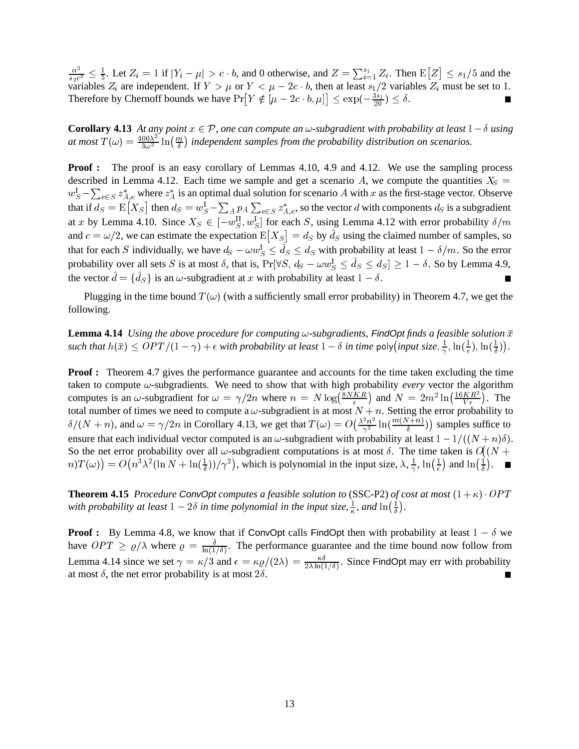$\frac{\alpha^2}{s_2c^2} \leq \frac{1}{5}$ . Let  $Z_i = 1$  if  $|Y_i - \mu| > c \cdot b$ , and 0 otherwise, and  $Z = \sum_{i=1}^{s_1} Z_i$ . Then  $\mathbb{E}[Z] \leq s_1/5$  and  $\leq s_1/5$  and the variables  $Z_i$  are independent. If  $Y > \mu$  or  $Y < \mu - 2c \cdot b$ , then at least  $s_1/2$  variables  $Z_i$  must be set to 1. Therefore by Chernoff bounds we have  $Pr[Y \notin [\mu - 2c \cdot b, \mu]] \leq exp(-\frac{3s_1}{20}) \leq \delta$ . Г

**Corollary 4.13** At any point  $x \in \mathcal{P}$ , one can compute an  $\omega$ -subgradient with probability at least  $1-\delta$  using at most  $T(\omega) = \frac{400\lambda^2}{3\omega^2} \ln(\frac{m}{\delta})$  independent samples from the probability distribution on scenarios.

**Proof :** The proof is an easy corollary of Lemmas 4.10, 4.9 and 4.12. We use the sampling process described in Lemma 4.12. Each time we sample and get a scenario A, we compute the quantities  $X<sub>S</sub>$  =  $w_S^1 - \sum_{e \in S} z_{A,e}^*$  where  $z_A^*$  is an optimal dual solution for scenario A with x as the first-stage vector. Observe that if  $d_S = \mathbb{E}[X_S]$  then  $d_S = w_S^1 - \sum_A p_A \sum_{e \in S} z_{A,e}^*$ , so the vector d with components  $d_S$  is a subgradient at x by Lemma 4.10. Since  $X_s \in [-w_S^{\text{II}}, w_S^{\text{I}}]$  for each S, using Lemma 4.12 with error probability  $\delta/m$ and  $c = \omega/2$ , we can estimate the expectation  $E[X_S] = d_S$  b  $= d<sub>S</sub>$  by  $d<sub>S</sub>$  using the claimed number of samples, so that for each S individually, we have  $d_S - \omega w_S^1 \leq d_S \leq d_S$  with probability at least  $1 - \delta/m$ . So the error probability over all sets S is at most  $\delta$ , that is,  $Pr[\forall S, d_S - \omega w_S^1 \le d_S \le d_S] \ge 1 - \delta$ . So by Lemma 4.9, the vector  $d = \{d_S\}$  is an  $\omega$ -subgradient at x with probability at least  $1 - \delta$ . П

Plugging in the time bound  $T(\omega)$  (with a sufficiently small error probability) in Theorem 4.7, we get the following.

**Lemma 4.14** *Using the above procedure for computing*  $\omega$ -subgradients, FindOpt finds a feasible solution  $\bar{x}$ such that  $h(\bar{x}) \leq OPT/(1-\gamma) + \epsilon$  with probability at least  $1-\delta$  in time poly(input size,  $\frac{1}{\gamma}, \ln(\frac{1}{\epsilon}), \ln(\frac{1}{\delta})$ ).

**Proof :** Theorem 4.7 gives the performance guarantee and accounts for the time taken excluding the time taken to compute  $\omega$ -subgradients. We need to show that with high probability *every* vector the algorithm computes is an  $\omega$ -subgradient for  $\omega = \gamma/2n$  where  $n = N \log(\frac{8NKR}{\epsilon})$  and  $N = 2m^2 \ln(\frac{16KR^2}{V_{\epsilon}})$ . The total number of times we need to compute a  $\omega$ -subgradient is at most  $N + n$ . Setting the error probability to  $\delta/(N+n)$ , and  $\omega = \gamma/2n$  in Corollary 4.13, we get that  $T(\omega) = O(\frac{\lambda^2 n^2}{\gamma^2} \ln(\frac{m(N)}{\delta}))$  $\left(\frac{\lambda^2 n^2}{\gamma^2} \ln(\frac{m(N+n)}{\delta})\right)$  samples suffice to ensure that each individual vector computed is an  $\omega$ -subgradient with probability at least  $1 - 1/((N + n)\delta)$ . So the net error probability over all  $\omega$ -subgradient computations is at most  $\delta$ . The time taken is  $O(N + 1)$ .  $m(T(\omega)) = O\left(n^3\lambda^2(\ln N + \ln(\frac{1}{\delta}))\right)/\gamma^2\right)$ , which is polynomial in the input size,  $\lambda, \frac{1}{\gamma}, \ln(\frac{1}{\epsilon})$  and  $\ln(\frac{1}{\delta})$ . 

**Theorem 4.15** *Procedure* ConvOpt *computes a feasible solution to* (SSC-P2) *of cost at most*  $(1 + \kappa) \cdot OPT$ with probability at least  $1 - 2\delta$  in time polynomial in the input size,  $\frac{1}{\kappa}$ , and  $\ln(\frac{1}{\delta})$ .

**Proof :** By Lemma 4.8, we know that if ConvOpt calls FindOpt then with probability at least  $1 - \delta$  we have  $OPT \ge \varrho/\lambda$  where  $\varrho = \frac{\varrho}{\ln(1/\delta)}$ . The performance guarantee and the time bound now follow from Lemma 4.14 since we set  $\gamma = \kappa/3$  and  $\epsilon = \kappa \varrho/(2\lambda) = \frac{\kappa \vartheta}{2\lambda \ln(1/\delta)}$ . Since FindOpt may err with probability at most  $\delta$ , the net error probability is at most  $2\delta$ .  $\blacksquare$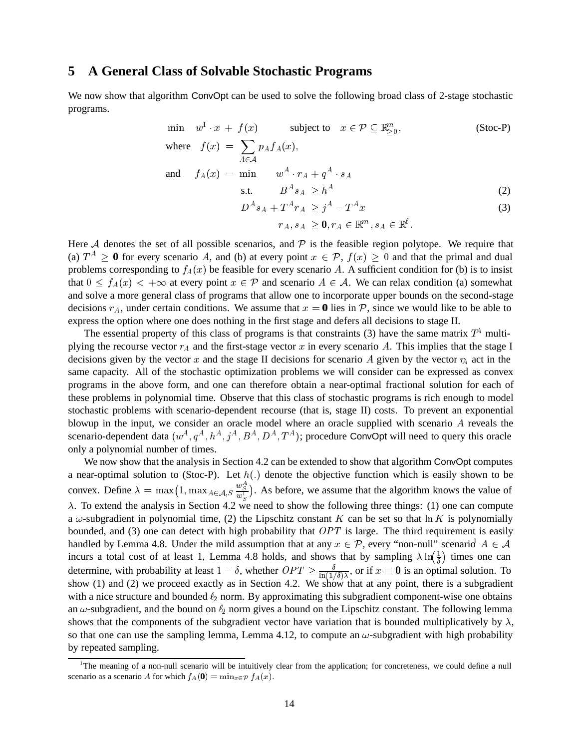### **5 A General Class of Solvable Stochastic Programs**

We now show that algorithm ConvOpt can be used to solve the following broad class of 2-stage stochastic programs.

$$
\min \quad w^{1} \cdot x + f(x) \qquad \text{subject to} \quad x \in \mathcal{P} \subseteq \mathbb{R}_{\geq 0}^{m},
$$
\n
$$
\text{where} \quad f(x) = \sum_{A \in \mathcal{A}} p_{A} f_{A}(x), \tag{Stock-1}
$$

and 
$$
f_A(x) = \min \qquad w^A \cdot r_A + q^A \cdot s_A
$$
  
s.t.  $B^A s_A \ge h^A$  (2)

$$
D^A s_A + T^A r_A \ge j^A - T^A x \tag{3}
$$

$$
r_A, s_A \geq \mathbf{0}, r_A \in \mathbb{R}^m, s_A \in \mathbb{R}^{\ell}.
$$

Here  $A$  denotes the set of all possible scenarios, and  $P$  is the feasible region polytope. We require that (a)  $T^A \ge 0$  for every scenario A, and (b) at every point  $x \in \mathcal{P}$ ,  $f(x) \ge 0$  and that the primal and dual problems corresponding to  $f_A(x)$  be feasible for every scenario A. A sufficient condition for (b) is to insist that  $0 \le f_A(x) < +\infty$  at every point  $x \in \mathcal{P}$  and scenario  $A \in \mathcal{A}$ . We can relax condition (a) somewhat and solve a more general class of programs that allow one to incorporate upper bounds on the second-stage decisions  $r_A$ , under certain conditions. We assume that  $x = 0$  lies in  $P$ , since we would like to be able to express the option where one does nothing in the first stage and defers all decisions to stage II.

The essential property of this class of programs is that constraints (3) have the same matrix  $T<sup>4</sup>$  multiplying the recourse vector  $r_A$  and the first-stage vector  $x$  in every scenario  $A$ . This implies that the stage I decisions given by the vector x and the stage II decisions for scenario A given by the vector  $\gamma_A$  act in the same capacity. All of the stochastic optimization problems we will consider can be expressed as convex programs in the above form, and one can therefore obtain a near-optimal fractional solution for each of these problems in polynomial time. Observe that this class of stochastic programs is rich enough to model stochastic problems with scenario-dependent recourse (that is, stage II) costs. To prevent an exponential blowup in the input, we consider an oracle model where an oracle supplied with scenario  $A$  reveals the scenario-dependent data  $(w^A, q^A, h^A, j^A, B^A, D^A, T^A)$ ; procedure ConvOpt will need to query this oracle only a polynomial number of times.

We now show that the analysis in Section 4.2 can be extended to show that algorithm ConvOpt computes a near-optimal solution to (Stoc-P). Let  $h(.)$  denote the objective function which is easily shown to be convex. Define  $\lambda = \max(1, \max_{A \in \mathcal{A}, S} \frac{w_S}{w_S^1})$ . As before, we assume that the algorithm knows the value of  $\lambda$ . To extend the analysis in Section 4.2 we need to show the following three things: (1) one can compute a  $\omega$ -subgradient in polynomial time, (2) the Lipschitz constant K can be set so that  $\ln K$  is polynomially bounded, and (3) one can detect with high probability that  $OPT$  is large. The third requirement is easily handled by Lemma 4.8. Under the mild assumption that at any  $x \in \mathcal{P}$ , every "non-null" scenarion  $A \in \mathcal{A}$ incurs a total cost of at least 1, Lemma 4.8 holds, and shows that by sampling  $\lambda \ln(\frac{1}{\delta})$  times one can determine, with probability at least  $1-\delta$ , whether  $OPT \ge \frac{\delta}{\ln(1/\delta)\lambda}$ , or if  $x = 0$  is an optimal solution. To show (1) and (2) we proceed exactly as in Section 4.2. We show that at any point, there is a subgradient with a nice structure and bounded  $\ell_2$  norm. By approximating this subgradient component-wise one obtains an  $\omega$ -subgradient, and the bound on  $\ell_2$  norm gives a bound on the Lipschitz constant. The following lemma shows that the components of the subgradient vector have variation that is bounded multiplicatively by  $\lambda$ , so that one can use the sampling lemma, Lemma 4.12, to compute an  $\omega$ -subgradient with high probability by repeated sampling.

<sup>&</sup>lt;sup>1</sup>The meaning of a non-null scenario will be intuitively clear from the application; for concreteness, we could define a null scenario as a scenario A for which  $f_A(0) = \min_{x \in \mathcal{P}} f_A(x)$ .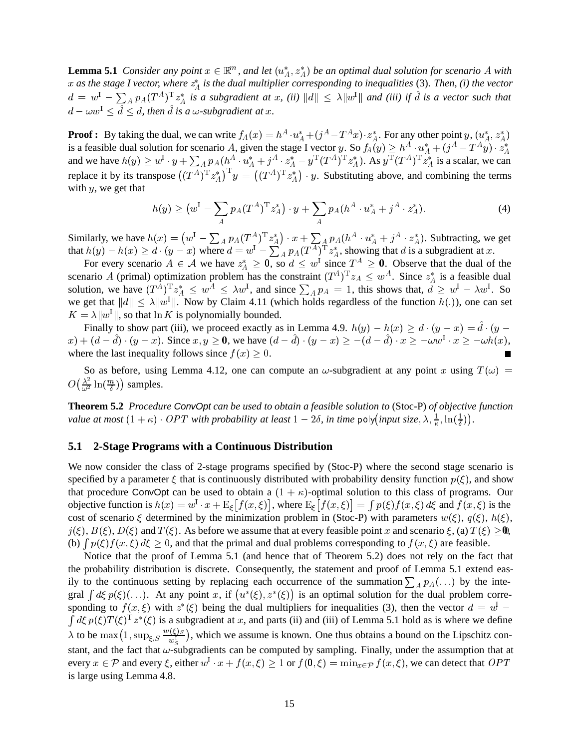**Lemma 5.1** *Consider any point*  $x \in \mathbb{R}^m$ , and let  $(u_A^*, z_A^*)$  be an optimal dual solution for scenario A with  $x$  as the stage I vector, where  $z_A^*$  is the dual multiplier corresponding to inequalities (3). Then, (i) the vector  $d = w^1 - \sum_A p_A (T^A)^T z_A^*$  is a subgradient at x, (ii)  $\|d\| \leq \lambda \|w^1\|$  and (iii) if d is a vector such that  $d - \omega w^1 \leq d \leq d$ , then *d* is a  $\omega$ -subgradient at *x*.

**Proof :** By taking the dual, we can write  $f_A(x) = h^A \cdot u_A^* + (j^A - T^A x) \cdot z_A^*$ . For any other point  $y, (u_A^*, z_A^*)$ is a feasible dual solution for scenario A, given the stage I vector y. So  $f_A(y) \geq h^A \cdot u_A^* + (j^A - T^A y) \cdot z_A^*$ and we have  $h(y) \geq w^1 \cdot y + \sum_A p_A (h^A \cdot u^*_A + j^A \cdot z^*_A - y^T (T^A)^T z^*_A)$ . As  $y^T (T^A)^T z^*_A$  is a scalar, we can replace it by its transpose  $((T^A)^T z_A^*)^T y = ((T^A)^T z_A^*)$ .  $((T^A)^T z_A^*) \cdot y$ . Substituting above, and combining the terms with  $y$ , we get that

$$
h(y) \ge (w^{\mathcal{I}} - \sum_{A} p_{A}(T^{A})^{\mathcal{T}} z_{A}^{*}) \cdot y + \sum_{A} p_{A}(h^{A} \cdot u_{A}^{*} + j^{A} \cdot z_{A}^{*}). \tag{4}
$$

Similarly, we have  $h(x) = (w^1 - \sum_A p_A (T^A)^T z_A^*) \cdot x + \sum_A p_A (h^A \cdot u_A^* + j^A \cdot z_A^*)$ . Subtracting, we get that  $h(y) - h(x) \ge d \cdot (y - x)$  where  $d = w^1 - \sum_A p_A (T^A)^T z_A^*$ , showing that d is a subgradient at x.

For every scenario  $A \in \mathcal{A}$  we have  $z_A^* \geq 0$ , so  $d \leq w^1$  since  $T^A \geq 0$ . Observe that the dual of the scenario A (primal) optimization problem has the constraint  $(T^A)^T z_A \leq w^A$ . Since  $z_A^*$  is a feasible dual solution, we have  $(T^A)^T z_A^* \leq w^A \leq \lambda w^1$ , and since  $\sum_A p_A = 1$ , this shows that,  $d \geq w^1 - \lambda w^1$ . So we get that  $||d|| \leq \lambda ||w^1||$ . Now by Claim 4.11 (which holds regardless of the function  $h(.)$ ), one can set  $K = \lambda ||w^1||$ , so that  $\ln K$  is polynomially bounded.

Finally to show part (iii), we proceed exactly as in Lemma 4.9.  $h(y) - h(x) \ge d \cdot (y - x) = d \cdot (y - x)$  $x + (d - d) \cdot (y - x)$ . Since  $x, y \ge 0$ , we have  $(d - d) \cdot (y - x) \ge -(d - d) \cdot x \ge -\omega w^1 \cdot x \ge -\omega h(x)$ , where the last inequality follows since  $f(x) \geq 0$ .

So as before, using Lemma 4.12, one can compute an  $\omega$ -subgradient at any point x using  $T(\omega)$  = /  $\left(\frac{\lambda^2}{\omega^2} \ln(\frac{m}{\delta})\right)$  samples.

**Theorem 5.2** *Procedure ConvOpt can be used to obtain a feasible solution to* (Stoc-P) *of objective function value at most*  $(1 + \kappa) \cdot OPT$  with probability at least  $1 - 2\delta$ , in time poly(input size,  $\lambda$ ,  $\frac{1}{\kappa}$ ,  $\ln(\frac{1}{\delta})$ ).

#### **5.1 2-Stage Programs with a Continuous Distribution**

We now consider the class of 2-stage programs specified by (Stoc-P) where the second stage scenario is specified by a parameter  $\xi$  that is continuously distributed with probability density function  $p(\xi)$ , and show that procedure ConvOpt can be used to obtain a  $(1 + \kappa)$ -optimal solution to this class of programs. Our objective function is  $h(x) = w^{\mathrm{I}} \cdot x + \mathrm{E}_{\xi}[f(x, \xi)],$  where  $\mathrm{E}_{\xi}[f(x, \xi)] = \int p(\xi)f(x, \xi)$   $p(\xi)f(x,\xi) d\xi$  and  $f(x,\xi)$  is the cost of scenario  $\xi$  determined by the minimization problem in (Stoc-P) with parameters  $w(\xi)$ ,  $q(\xi)$ ,  $h(\xi)$ ,  $j(\xi)$ ,  $B(\xi)$ ,  $D(\xi)$  and  $T(\xi)$ . As before we assume that at every feasible point x and scenario  $\xi$ , (a)  $T(\xi) \geq 0$ , (b)  $\int p(\xi) f(x,\xi) d\xi \geq 0$ , and that the primal and dual problems corresponding to  $f(x,\xi)$  are feasible.

Notice that the proof of Lemma 5.1 (and hence that of Theorem 5.2) does not rely on the fact that the probability distribution is discrete. Consequently, the statement and proof of Lemma 5.1 extend easily to the continuous setting by replacing each occurrence of the summation  $\sum_{A} p_A(\ldots)$  by the integral  $\int d\xi p(\xi)(\ldots)$ . At any point x, if  $(u^*(\xi), z^*(\xi))$  is an optimal solution for the dual problem corresponding to  $f(x,\xi)$  with  $z^*(\xi)$  being the dual multipliers for inequalities (3), then the vector  $d = w \int d\xi p(\xi) T(\xi)^T z^*(\xi)$  is a subgradient at x, and parts (ii) and (iii) of Lemma 5.1 hold as is where we define  $\lambda$  to be  $\max(1, \sup_{\xi, S} \frac{w(\xi)S}{w_S^1})$ , which we assume is known. One thus obtains a bound on the Lipschitz constant, and the fact that  $\omega$ -subgradients can be computed by sampling. Finally, under the assumption that at every  $x \in \mathcal{P}$  and every  $\xi$ , either  $w^1 \cdot x + f(x, \xi) \geq 1$  or  $f(\mathbf{0}, \xi) = \min_{x \in \mathcal{P}} f(x, \xi)$ , we can detect that  $OPT$ is large using Lemma 4.8.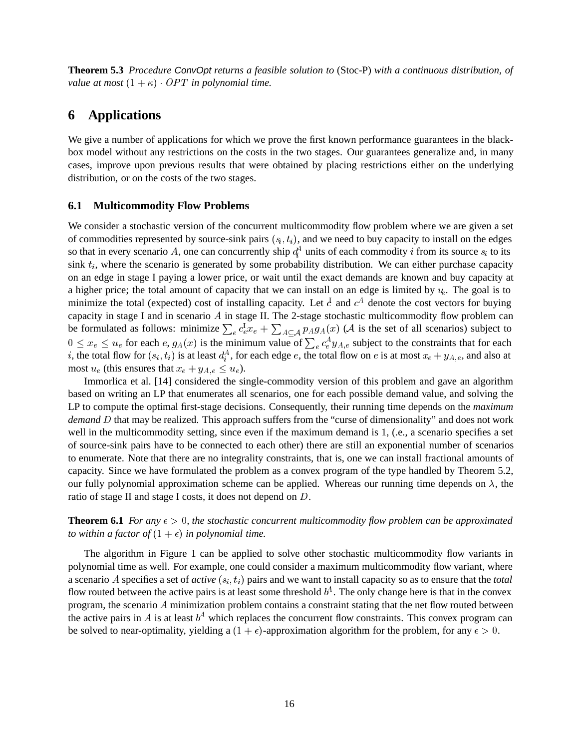**Theorem 5.3** *Procedure ConvOpt returns a feasible solution to* (Stoc-P) *with a continuous distribution, of value at most*  $(1 + \kappa) \cdot OPT$  *in polynomial time.* 

# **6 Applications**

We give a number of applications for which we prove the first known performance guarantees in the blackbox model without any restrictions on the costs in the two stages. Our guarantees generalize and, in many cases, improve upon previous results that were obtained by placing restrictions either on the underlying distribution, or on the costs of the two stages.

### **6.1 Multicommodity Flow Problems**

We consider a stochastic version of the concurrent multicommodity flow problem where we are given a set of commodities represented by source-sink pairs  $(s_i, t_i)$ , and we need to buy capacity to install on the edges so that in every scenario A, one can concurrently ship  $d_i^A$  units of each commodity i from its source  $s_i$  to its sink  $t_i$ , where the scenario is generated by some probability distribution. We can either purchase capacity on an edge in stage I paying a lower price, or wait until the exact demands are known and buy capacity at a higher price; the total amount of capacity that we can install on an edge is limited by  $u_t$ . The goal is to minimize the total (expected) cost of installing capacity. Let  $\dot{c}$  and  $c^A$  denote the cost vectors for buying capacity in stage I and in scenario  $A$  in stage II. The 2-stage stochastic multicommodity flow problem can be formulated as follows: minimize  $\sum_{e} c_e^l x_e + \sum_{A \subset A} p_A g_A(x)$  (A is the set of all scenarios) subject to  $0 \le x_e \le u_e$  for each  $e, g_A(x)$  is the minimum value of  $\sum_e c_e^A y_{A,e}$  subject to the constraints that for each i, the total flow for  $(s_i, t_i)$  is at least  $d_i^A$ , for each edge e, the total flow on e is at most  $x_e + y_{A,e}$ , and also at most  $u_e$  (this ensures that  $x_e + y_{A,e} \leq u_e$ ).

Immorlica et al. [14] considered the single-commodity version of this problem and gave an algorithm based on writing an LP that enumerates all scenarios, one for each possible demand value, and solving the LP to compute the optimal first-stage decisions. Consequently, their running time depends on the *maximum demand* D that may be realized. This approach suffers from the "curse of dimensionality" and does not work well in the multicommodity setting, since even if the maximum demand is 1, (.e., a scenario specifies a set of source-sink pairs have to be connected to each other) there are still an exponential number of scenarios to enumerate. Note that there are no integrality constraints, that is, one we can install fractional amounts of capacity. Since we have formulated the problem as a convex program of the type handled by Theorem 5.2, our fully polynomial approximation scheme can be applied. Whereas our running time depends on  $\lambda$ , the ratio of stage II and stage I costs, it does not depend on  $D$ .

**Theorem 6.1** *For any*  $\epsilon > 0$ , the stochastic concurrent multicommodity flow problem can be approximated *to within a factor of*  $(1 + \epsilon)$  *in polynomial time.* 

The algorithm in Figure 1 can be applied to solve other stochastic multicommodity flow variants in polynomial time as well. For example, one could consider a maximum multicommodity flow variant, where a scenario A specifies a set of  $active(s_i, t_i)$  pairs and we want to install capacity so as to ensure that the *total* flow routed between the active pairs is at least some threshold  $b^A$ . The only change here is that in the convex program, the scenario  $\hat{A}$  minimization problem contains a constraint stating that the net flow routed between the active pairs in A is at least  $b^A$  which replaces the concurrent flow constraints. This convex program can be solved to near-optimality, yielding a  $(1 + \epsilon)$ -approximation algorithm for the problem, for any  $\epsilon > 0$ .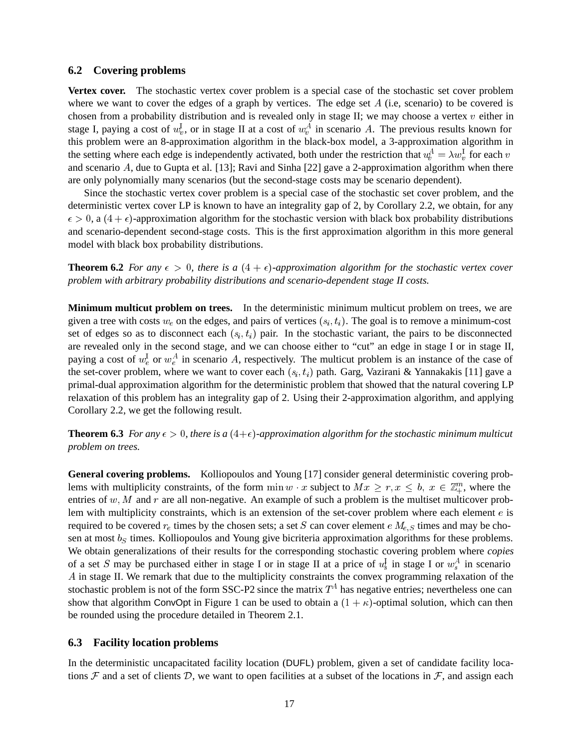#### **6.2 Covering problems**

**Vertex cover.** The stochastic vertex cover problem is a special case of the stochastic set cover problem where we want to cover the edges of a graph by vertices. The edge set  $A$  (i.e, scenario) to be covered is chosen from a probability distribution and is revealed only in stage II; we may choose a vertex  $v$  either in stage I, paying a cost of  $w_v^1$ , or in stage II at a cost of  $w_v^A$  in scenario A. The previous results known for this problem were an 8-approximation algorithm in the black-box model, a 3-approximation algorithm in the setting where each edge is independently activated, both under the restriction that  $u_t^A = \lambda w_v^1$  for each v and scenario  $A$ , due to Gupta et al. [13]; Ravi and Sinha [22] gave a 2-approximation algorithm when there are only polynomially many scenarios (but the second-stage costs may be scenario dependent).

Since the stochastic vertex cover problem is a special case of the stochastic set cover problem, and the deterministic vertex cover LP is known to have an integrality gap of 2, by Corollary 2.2, we obtain, for any  $\epsilon > 0$ , a  $(4 + \epsilon)$ -approximation algorithm for the stochastic version with black box probability distributions and scenario-dependent second-stage costs. This is the first approximation algorithm in this more general model with black box probability distributions.

**Theorem 6.2** *For any*  $\epsilon > 0$ , there is a  $(4 + \epsilon)$ -approximation algorithm for the stochastic vertex cover *problem with arbitrary probability distributions and scenario-dependent stage II costs.*

**Minimum multicut problem on trees.** In the deterministic minimum multicut problem on trees, we are given a tree with costs  $w_e$  on the edges, and pairs of vertices  $(s_i, t_i)$ . The goal is to remove a minimum-cost set of edges so as to disconnect each  $(s_i, t_i)$  pair. In the stochastic variant, the pairs to be disconnected are revealed only in the second stage, and we can choose either to "cut" an edge in stage I or in stage II, paying a cost of  $w_e^1$  or  $w_e^A$  in scenario A, respectively. The multicut problem is an instance of the case of the set-cover problem, where we want to cover each  $(s_i, t_i)$  path. Garg, Vazirani & Yannakakis [11] gave a primal-dual approximation algorithm for the deterministic problem that showed that the natural covering LP relaxation of this problem has an integrality gap of 2. Using their 2-approximation algorithm, and applying Corollary 2.2, we get the following result.

**Theorem 6.3** *For any*  $\epsilon > 0$ , there is a  $(4+\epsilon)$ -approximation algorithm for the stochastic minimum multicut *problem on trees.*

**General covering problems.** Kolliopoulos and Young [17] consider general deterministic covering problems with multiplicity constraints, of the form  $\min w \cdot x$  subject to  $Mx \ge r, x \le b, x \in \mathbb{Z}_+^m$ , where the entries of  $w$ ,  $M$  and  $r$  are all non-negative. An example of such a problem is the multiset multicover problem with multiplicity constraints, which is an extension of the set-cover problem where each element  $e$  is required to be covered  $r_e$  times by the chosen sets; a set S can cover element  $e \ M_{e,S}$  times and may be chosen at most  $b<sub>S</sub>$  times. Kolliopoulos and Young give bicriteria approximation algorithms for these problems. We obtain generalizations of their results for the corresponding stochastic covering problem where *copies* of a set S may be purchased either in stage I or in stage II at a price of  $u_s^1$  in stage I or  $w_s^A$  in scenario A in stage II. We remark that due to the multiplicity constraints the convex programming relaxation of the stochastic problem is not of the form SSC-P2 since the matrix  $T<sup>A</sup>$  has negative entries; nevertheless one can show that algorithm ConvOpt in Figure 1 can be used to obtain a  $(1 + \kappa)$ -optimal solution, which can then be rounded using the procedure detailed in Theorem 2.1.

### **6.3 Facility location problems**

In the deterministic uncapacitated facility location (DUFL) problem, given a set of candidate facility locations  $F$  and a set of clients  $D$ , we want to open facilities at a subset of the locations in  $F$ , and assign each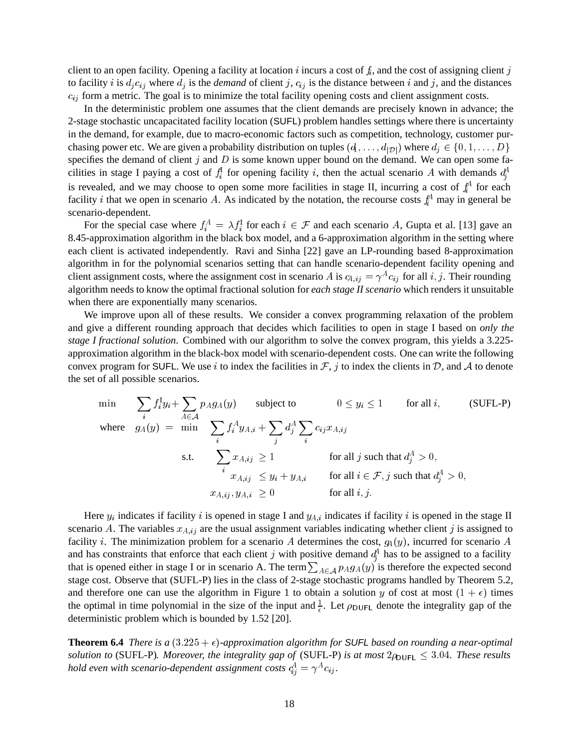client to an open facility. Opening a facility at location i incurs a cost of  $f_i$ , and the cost of assigning client j to facility *i* is  $d_i c_{ij}$  where  $d_j$  is the *demand* of client *j*,  $c_{ij}$  is the distance between *i* and *j*, and the distances  $c_{ij}$  form a metric. The goal is to minimize the total facility opening costs and client assignment costs.

In the deterministic problem one assumes that the client demands are precisely known in advance; the 2-stage stochastic uncapacitated facility location (SUFL) problem handles settings where there is uncertainty in the demand, for example, due to macro-economic factors such as competition, technology, customer purchasing power etc. We are given a probability distribution on tuples  $(d_1, \ldots, d_{|\mathcal{D}|})$  where  $d_j \in \{0, 1, \ldots, D\}$ specifies the demand of client  $j$  and  $D$  is some known upper bound on the demand. We can open some facilities in stage I paying a cost of  $f_i^1$  for opening facility i, then the actual scenario A with demands  $d_i^4$ is revealed, and we may choose to open some more facilities in stage II, incurring a cost of  $f_i^A$  for each  $\mathbf{r}$  and  $\mathbf{r}$  and  $\mathbf{r}$  and  $\mathbf{r}$  and  $\mathbf{r}$ facility *i* that we open in scenario A. As indicated by the notation, the recourse costs  $f_i^A$  may in general be scenario-dependent.

For the special case where  $f_i^A = \lambda f_i^1$  for each  $i \in \mathcal{F}$  and each scenario A, Gupta et al. [13] gave an 8.45-approximation algorithm in the black box model, and a 6-approximation algorithm in the setting where each client is activated independently. Ravi and Sinha [22] gave an LP-rounding based 8-approximation algorithm in for the polynomial scenarios setting that can handle scenario-dependent facility opening and client assignment costs, where the assignment cost in scenario A is  $c_{A,ij} = \gamma^A c_{ij}$  for all i, j. Their rounding algorithm needs to know the optimal fractional solution for *each stage II scenario* which renders it unsuitable when there are exponentially many scenarios.

We improve upon all of these results. We consider a convex programming relaxation of the problem and give a different rounding approach that decides which facilities to open in stage I based on *only the stage I fractional solution*. Combined with our algorithm to solve the convex program, this yields a 3.225 approximation algorithm in the black-box model with scenario-dependent costs. One can write the following convex program for SUFL. We use *i* to index the facilities in  $\mathcal{F}$ , *j* to index the clients in  $\mathcal{D}$ , and  $\mathcal{A}$  to denote the set of all possible scenarios.

$$
\begin{array}{ll}\n\min & \sum_{i} f_{i}^{I} y_{i} + \sum_{A \in \mathcal{A}} p_{A} g_{A}(y) \qquad \text{subject to} \qquad 0 \leq y_{i} \leq 1 \qquad \text{for all } i,\n\end{array} \tag{SUFL-P}
$$
\n
$$
\text{where} \quad g_{A}(y) = \min & \sum_{i} f_{i}^{A} y_{A,i} + \sum_{j} d_{j}^{A} \sum_{i} c_{ij} x_{A,ij}
$$
\n
$$
\text{s.t.} \quad \sum_{i} x_{A,ij} \geq 1 \qquad \text{for all } j \text{ such that } d_{j}^{A} > 0,
$$
\n
$$
x_{A,ij} \leq y_{i} + y_{A,i} \qquad \text{for all } i \in \mathcal{F}, j \text{ such that } d_{j}^{A} > 0,
$$
\n
$$
x_{A,ij}, y_{A,i} \geq 0 \qquad \text{for all } i, j.
$$

Here  $y_i$  indicates if facility i is opened in stage I and  $y_{i,i}$  indicates if facility i is opened in the stage II scenario A. The variables  $x_{A,ij}$  are the usual assignment variables indicating whether client j is assigned to facility *i*. The minimization problem for a scenario A determines the cost,  $g_A(y)$ , incurred for scenario A and has constraints that enforce that each client j with positive demand  $d_i^A$  has to be assigned to a facility that is opened either in stage I or in scenario A. The term  $\sum_{A \in A} p_A q_A(y)$  is therefore the expected second stage cost. Observe that (SUFL-P) lies in the class of 2-stage stochastic programs handled by Theorem 5.2, and therefore one can use the algorithm in Figure 1 to obtain a solution y of cost at most  $(1 + \epsilon)$  times the optimal in time polynomial in the size of the input and  $\frac{1}{6}$ . Let  $\rho_{\text{DUFL}}$  denote the integrality gap of the deterministic problem which is bounded by 1.52 [20].

**Theorem 6.4** *There is a*  $(3.225 + \epsilon)$ -approximation algorithm for SUFL based on rounding a near-optimal *solution to* (SUFL-P). Moreover, the integrality gap of (SUFL-P) is at most  $2\rho_{\text{UFL}} \leq 3.04$ . These results hold even with scenario-dependent assignment costs  $c_{ij}^A = \gamma^A c_{ij}$ .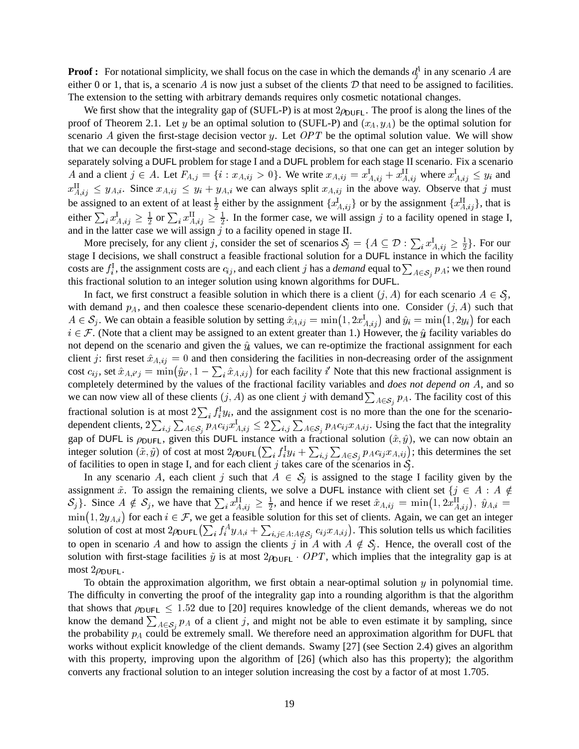**Proof :** For notational simplicity, we shall focus on the case in which the demands  $d_i^A$  in any scenario A are  $\mathbf{r}$  and  $\mathbf{r}$  and  $\mathbf{r}$  and  $\mathbf{r}$  and  $\mathbf{r}$ either 0 or 1, that is, a scenario A is now just a subset of the clients  $D$  that need to be assigned to facilities. The extension to the setting with arbitrary demands requires only cosmetic notational changes.

We first show that the integrality gap of (SUFL-P) is at most  $2\rho_{\text{UFL}}$ . The proof is along the lines of the proof of Theorem 2.1. Let y be an optimal solution to (SUFL-P) and  $(x_A, y_A)$  be the optimal solution for scenario A given the first-stage decision vector y. Let  $OPT$  be the optimal solution value. We will show that we can decouple the first-stage and second-stage decisions, so that one can get an integer solution by separately solving a DUFL problem for stage I and a DUFL problem for each stage II scenario. Fix a scenario A and a client  $j \in A$ . Let  $F_{A,j} = \{i : x_{A,ij} > 0\}$ . We write  $x_{A,ij} = x_{A,ij}^1 + x_{A,ij}^1$  where  $x_{A,ij}^1 \leq y_i$  and  $x_{A,ij}^{\text{II}} \leq y_{A,i}$ . Since  $x_{A,ij} \leq y_i + y_{A,i}$  we can always split  $x_{A,ij}$  in the above way. Observe that j must be assigned to an extent of at least  $\frac{1}{2}$  either by the assignment  $\{x_{A,ij}^{\text{L}}\}$  or by the assignment  $\{x_{A,ij}^{\text{L}}\}$ , that is either  $\sum_i x_{A,ij}^1 \ge \frac{1}{2}$  or  $\sum_i x_{A,ij}^{11} \ge \frac{1}{2}$ . In the former case, we will assign j to a facility opened in stage I, and in the latter case we will assign  $j$  to a facility opened in stage II.

More precisely, for any client j, consider the set of scenarios  $S_j = \{A \subseteq \mathcal{D} : \sum_i x_{A,ij}^1 \ge \frac{1}{2}\}\.$  For our stage I decisions, we shall construct a feasible fractional solution for a DUFL instance in which the facility costs are  $f_i^1$ , the assignment costs are  $c_{ij}$ , and each client j has a *demand* equal to  $\sum_{A \in S_i} p_A$ ; we then round this fractional solution to an integer solution using known algorithms for DUFL.

In fact, we first construct a feasible solution in which there is a client  $(j, A)$  for each scenario  $A \in \mathcal{S}_1$ , with demand  $p_A$ , and then coalesce these scenario-dependent clients into one. Consider  $(j, A)$  such that  $A \in S_j$ . We can obtain a feasible solution by setting  $\hat{x}_{A,ij} = \min(1, 2x^1_{A,ij})$  and  $\hat{y}_i = \min(1, 2y_i)$  for each  $i \in \mathcal{F}$ . (Note that a client may be assigned to an extent greater than 1.) However, the  $\hat{u}$  facility variables do not depend on the scenario and given the  $\hat{y}_k$  values, we can re-optimize the fractional assignment for each client j: first reset  $\hat{x}_{A,ij} = 0$  and then considering the facilities in non-decreasing order of the assignment cost  $c_{ij}$ , set  $\hat{x}_{A,i'j} = \min(\hat{y}_{i'}, 1 - \sum_i \hat{x}_{A,ij})$  for each facility  $i'$  Note that this new fractional assignment is completely determined by the values of the fractional facility variables and *does not depend on A*, and so we can now view all of these clients  $(j, A)$  as one client j with demand  $\sum_{A \in S_j} p_A$ . The facility cost of this fractional solution is at most  $2\sum_i f_i^1y_i$ , and the assignment cost is no more than the one for the scenariodependent clients,  $2\sum_{i,j}\sum_{A\in S_i}p_Ac_{ij}x_{A,ij}^1 \leq 2\sum_{i,j}\sum_{A\in S_i}p_Ac_{ij}x_{A,ij}$ . Using the fact that the integrality gap of DUFL is  $\rho_{\text{DUFL}}$ , given this DUFL instance with a fractional solution  $(\hat{x}, \hat{y})$ , we can now obtain an integer solution  $(\tilde{x}, \tilde{y})$  of cost at most  $2\rho_{\text{DUFL}}\left(\sum_i f_i^1 y_i + \sum_{i,j} \sum_{A \in \mathcal{S}_i} p_A c_{ij} x_{A,ij}\right)$ ; this determines the set of facilities to open in stage I, and for each client j takes care of the scenarios in  $S<sub>i</sub>$ .

In any scenario A, each client j such that  $A \in S_i$  is assigned to the stage I facility given by the assignment  $\tilde{x}$ . To assign the remaining clients, we solve a DUFL instance with client set  $\{j \in A : A \notin \mathbb{R}^d\}$  $S_j$ . Since  $A \notin S_j$ , we have that  $\sum_i x_{A,ij}^{\text{II}} \ge \frac{1}{2}$ , and hence if we reset  $\hat{x}_{A,ij} = \min(1, 2x_{A,ij}^{\text{II}})$ ,  $\hat{y}_{A,i} =$  $\min(1, 2y_{A,i})$  for each  $i \in \mathcal{F}$ , we get a feasible solution for this set of clients. Again, we can get an integer solution of cost at most  $2\rho_{\text{DUFL}}(\sum_i f_i^A y_{A,i} + \sum_{i,j \in A: A \notin S_i} c_{ij} x_{A,ij})$ . This solution tells us which facilities to open in scenario A and how to assign the clients j in A with  $A \notin S_i$ . Hence, the overall cost of the solution with first-stage facilities  $\tilde{y}$  is at most  $2\rho_{\text{DUFL}}$   $\cdot$  OPT, which implies that the integrality gap is at most  $2\rho_{\text{DUFL}}$ .

To obtain the approximation algorithm, we first obtain a near-optimal solution  $y$  in polynomial time. The difficulty in converting the proof of the integrality gap into a rounding algorithm is that the algorithm that shows that  $\rho_{\text{DUFL}} \leq 1.52$  due to [20] requires knowledge of the client demands, whereas we do not know the demand  $\sum_{A \in \mathcal{S}_i} p_A$  of a client j, and might not be able to even estimate it by sampling, since the probability  $p_A$  could be extremely small. We therefore need an approximation algorithm for DUFL that works without explicit knowledge of the client demands. Swamy [27] (see Section 2.4) gives an algorithm with this property, improving upon the algorithm of [26] (which also has this property); the algorithm converts any fractional solution to an integer solution increasing the cost by a factor of at most 1.705.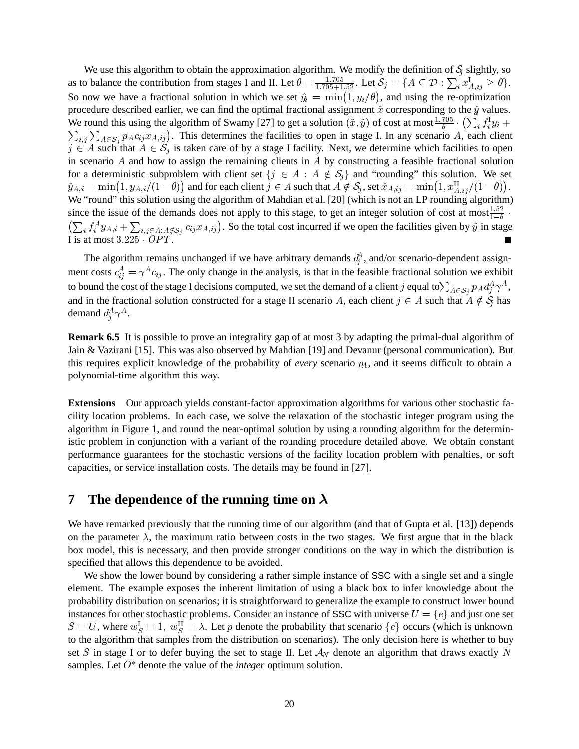We use this algorithm to obtain the approximation algorithm. We modify the definition of  $S<sub>i</sub>$  slightly, so as to balance the contribution from stages I and II. Let  $\theta = \frac{1.705}{1.705 + 1.52}$ . Let  $\mathcal{S}_j = \{A \subseteq \mathcal{D} : \sum_i x_{A,ij}^1 \ge \theta\}$ . So now we have a fractional solution in which we set  $\hat{y}_i = \min(1, y_i/\theta)$ , and using the re-optimization procedure described earlier, we can find the optimal fractional assignment  $\hat{x}$  corresponding to the  $\hat{y}$  values. We round this using the algorithm of Swamy [27] to get a solution  $(\tilde{x}, \tilde{y})$  of cost at most  $\frac{1.705}{\theta} \cdot (\sum_i f_i^{\{1\}} y_i + \sum_{i,j} \sum_{A \in S_i} p_A c_{ij} x_{A,ij})$ . This determines the facilities to open in stage I. In any scenario  $j \in A$  such that  $A \in S_j$  is taken care of by a stage I facility. Next, we determine which facilities to open in scenario  $A$  and how to assign the remaining clients in  $A$  by constructing a feasible fractional solution for a deterministic subproblem with client set  $\{j \in A : A \notin S_j\}$  and "rounding" this solution. We set  $\hat{y}_{A,i} = \min(1, y_{A,i}/(1-\theta))$  and for each client  $j \in A$  such that  $A \notin \mathcal{S}_j$ , set  $\hat{x}_{A,ij} = \min(1, x_{A,ij}^H/(1-\theta)).$ We "round" this solution using the algorithm of Mahdian et al. [20] (which is not an LP rounding algorithm) since the issue of the demands does not apply to this stage, to get an integer solution of cost at most  $\frac{1.52}{1-\theta}$ .  $\left(\sum_i f_i^A y_{A,i} + \sum_{i,j \in A: A \notin S_i} c_{ij} x_{A,ij}\right)$ . So the total cost incurred if we open the facilities given by  $\tilde{y}$  in stage I is at most  $3.225 \cdot OPT$ .

The algorithm remains unchanged if we have arbitrary demands  $d_i^A$ , and/or scenario-dependent assignment costs  $c_{ij}^A = \gamma^A c_{ij}$ . The only change in the analysis, is that in the feasible fractional solution we exhibit to bound the cost of the stage I decisions computed, we set the demand of a client j equal to $\sum_{A\in S_i}p_A d_j^A\gamma^A$ , and in the fractional solution constructed for a stage II scenario A, each client  $j \in A$  such that  $A \notin \mathcal{S}$  has demand  $d_i^A \gamma^A$ .

**Remark 6.5** It is possible to prove an integrality gap of at most 3 by adapting the primal-dual algorithm of Jain & Vazirani [15]. This was also observed by Mahdian [19] and Devanur (personal communication). But this requires explicit knowledge of the probability of *every* scenario  $p_A$ , and it seems difficult to obtain a polynomial-time algorithm this way.

**Extensions** Our approach yields constant-factor approximation algorithms for various other stochastic facility location problems. In each case, we solve the relaxation of the stochastic integer program using the algorithm in Figure 1, and round the near-optimal solution by using a rounding algorithm for the deterministic problem in conjunction with a variant of the rounding procedure detailed above. We obtain constant performance guarantees for the stochastic versions of the facility location problem with penalties, or soft capacities, or service installation costs. The details may be found in [27].

# **7** The dependence of the running time on  $\lambda$

We have remarked previously that the running time of our algorithm (and that of Gupta et al. [13]) depends on the parameter  $\lambda$ , the maximum ratio between costs in the two stages. We first argue that in the black box model, this is necessary, and then provide stronger conditions on the way in which the distribution is specified that allows this dependence to be avoided.

We show the lower bound by considering a rather simple instance of SSC with a single set and a single element. The example exposes the inherent limitation of using a black box to infer knowledge about the probability distribution on scenarios; it is straightforward to generalize the example to construct lower bound instances for other stochastic problems. Consider an instance of SSC with universe  $U = \{e\}$  and just one set  $S = U$ , where  $w_S^1 = 1$ ,  $w_S^{11} = \lambda$ . Let p denote the probability that scenario  $\{e\}$  occurs (which is unknown to the algorithm that samples from the distribution on scenarios). The only decision here is whether to buy set S in stage I or to defer buying the set to stage II. Let  $A_N$  denote an algorithm that draws exactly N samples. Let  $O^*$  denote the value of the *integer* optimum solution.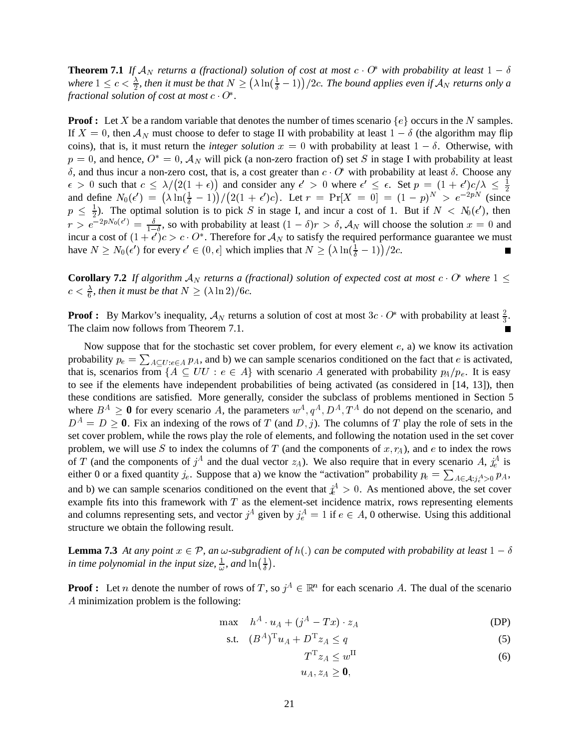**Theorem 7.1** If  $A_N$  returns a (fractional) solution of cost at most  $c \cdot O^*$  with probability at least  $1 - \delta$ where  $1 \leq c < \frac{\lambda}{2}$ , then it must be that  $N \geq (\lambda \ln(\frac{1}{\delta}-1))/2c$ . The bound applies even if  $\mathcal{A}_N$  returns only a *fractional solution of cost at most*  $c \cdot 0^*$ .

**Proof :** Let X be a random variable that denotes the number of times scenario  $\{e\}$  occurs in the N samples. If  $X = 0$ , then  $\mathcal{A}_N$  must choose to defer to stage II with probability at least  $1 - \delta$  (the algorithm may flip coins), that is, it must return the *integer solution*  $x = 0$  with probability at least  $1 - \delta$ . Otherwise, with  $p = 0$ , and hence,  $O^* = 0$ ,  $\mathcal{A}_N$  will pick (a non-zero fraction of) set S in stage I with probability at least  $\delta$ , and thus incur a non-zero cost, that is, a cost greater than  $c \cdot O^*$  with probability at least  $\delta$ . Choose any  $\epsilon > 0$  such that  $c \leq \lambda/(2(1+\epsilon))$  and consider any  $\epsilon' > 0$  where  $\epsilon' \leq \epsilon$ . Set  $p = (1+\epsilon')c/\lambda \leq \frac{1}{2}$  $\frac{1}{2}$  and  $\frac{1}{2}$  and  $\frac{1}{2}$  and  $\frac{1}{2}$  and  $\frac{1}{2}$  and  $\frac{1}{2}$  and  $\frac{1}{2}$  and  $\frac{1}{2}$  and  $\frac{1}{2}$  and  $\frac{1}{2}$  and  $\frac{1}{2}$  and  $\frac{1}{2}$  and  $\frac{1}{2}$  and  $\frac{1}{2}$  and  $\frac{1}{2}$  and  $\frac{1}{2}$  a and define  $N_0(\epsilon') = (\lambda \ln(\frac{1}{\delta} - 1))/(2(1 + \epsilon')c)$ . Let  $r = Pr[X = 0] = (1 - p)^N > e^{-2pN}$  (since  $p \leq \frac{1}{2}$ . The optimal solution is to pick S in stage I, and incur a cost of 1. But if  $N < N_0(\epsilon')$ , then  $r > e^{-2pN_0(\epsilon')} = \frac{\delta}{1-\delta}$ , so with probability at least  $(1-\delta)r > \delta$ ,  $\mathcal{A}_N$  will choose the solution  $x = 0$  and incur a cost of  $(1+\epsilon')c > c \cdot 0^*$ . Therefore for  $\mathcal{A}_N$  to satisfy the required performance guarantee we must have  $N \ge N_0(\epsilon')$  for every  $\epsilon' \in (0, \epsilon]$  which implies that  $N \ge (\lambda \ln(\frac{1}{\delta}-1))/2c$ .

**Corollary 7.2** If algorithm  $A_N$  returns a (fractional) solution of expected cost at most  $c \cdot 0^*$  where  $1 \leq$  $c < \frac{\lambda}{6}$ , then it must be that  $N \ge (\lambda \ln 2)/6c$ .

**Proof :** By Markov's inequality,  $A_N$  returns a solution of cost at most  $3c \cdot 0^*$  with probability at least  $\frac{2}{3}$ . The claim now follows from Theorem 7.1.

Now suppose that for the stochastic set cover problem, for every element  $e$ , a) we know its activation probability  $p_e = \sum_{A \subset U: e \in A} p_A$ , and b) we can sample scenarios conditioned on the fact that e is activated, that is, scenarios from  $\{A \subseteq UU : e \in A\}$  with scenario A generated with probability  $p_A/p_e$ . It is easy to see if the elements have independent probabilities of being activated (as considered in [14, 13]), then these conditions are satisfied. More generally, consider the subclass of problems mentioned in Section 5 where  $B^A \geq 0$  for every scenario A, the parameters  $w^A, q^A, D^A, T^A$  do not depend on the scenario, and  $D^A = D \ge 0$ . Fix an indexing of the rows of T (and D, j). The columns of T play the role of sets in the set cover problem, while the rows play the role of elements, and following the notation used in the set cover problem, we will use S to index the columns of T (and the components of  $x, r<sub>A</sub>$ ), and  $e$  to index the rows of T (and the components of  $j^A$  and the dual vector  $z_A$ ). We also require that in every scenario A,  $j_e^A$  is either 0 or a fixed quantity  $j_e$ . Suppose that a) we know the "activation" probability  $p_e = \sum_{A \in \mathcal{A}: j_e^A > 0} p_A$ , and b) we can sample scenarios conditioned on the event that  $\dot{x}^4 > 0$ . As mentioned above, the set cover example fits into this framework with  $T$  as the element-set incidence matrix, rows representing elements and columns representing sets, and vector  $j^A$  given by  $j_e^A = 1$  if  $e \in A$ , 0 otherwise. Using this additional structure we obtain the following result.

**Lemma 7.3** At any point  $x \in \mathcal{P}$ , an  $\omega$ -subgradient of  $h(.)$  can be computed with probability at least  $1 - \delta$ in time polynomial in the input size,  $\frac{1}{\omega}$ , and  $\ln(\frac{1}{\delta})$ .

**Proof :** Let *n* denote the number of rows of T, so  $j^A \in \mathbb{R}^n$  for each scenario A. The dual of the scenario A minimization problem is the following:

$$
\max \quad h^A \cdot u_A + (j^A - Tx) \cdot z_A \tag{DP}
$$

$$
\text{s.t.} \quad (B^A)^\mathrm{T} u_A + D^\mathrm{T} z_A \le q \tag{5}
$$

$$
T^{\mathrm{T}} z_A \le w^{\mathrm{II}} \tag{6}
$$

- 4 -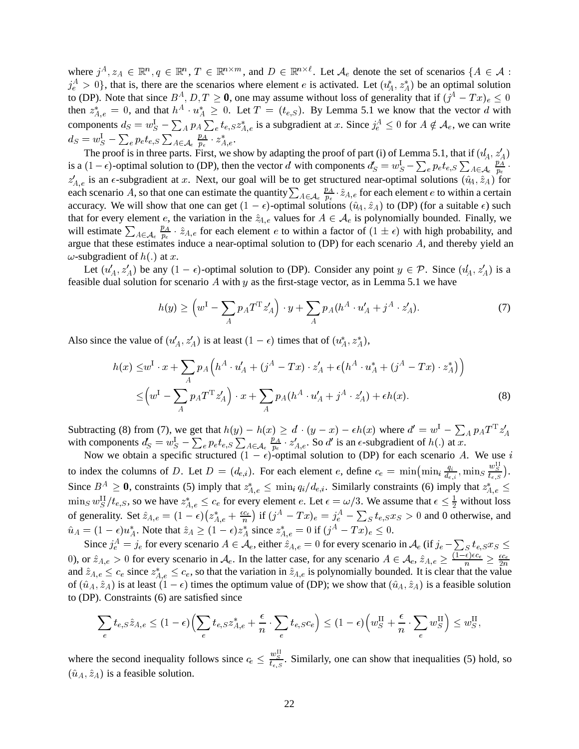where  $j^A, z_A \in \mathbb{R}^n, q \in \mathbb{R}^n, T \in \mathbb{R}^{n \times m}$ , and  $D \in \mathbb{R}^{n \times \ell}$ . Let  $\mathcal{A}_e$  denote the set of scenarios  $\{A \in \mathcal{A} :$  $j_e^A > 0$ , that is, there are the scenarios where element e is activated. Let  $(u_A^*, z_A^*)$  be an optimal solution to (DP). Note that since  $B^A$ ,  $D$ ,  $T \ge 0$ , one may assume without loss of generality that if  $(j^A - Tx)_e \le 0$ <br>then  $z^*_{A,e} = 0$ , and that  $h^A \cdot u^*_{A} \ge 0$ . Let  $T = (t_{e,S})$ . By Lemma 5.1 we know that the vector d with components  $d_S = w_S^1 - \sum_A p_A \sum_e t_{e,S} z_{A,e}^*$  is a subgradient at x. Since  $j_e^A \leq 0$  for  $A \notin \mathcal{A}_e$ , we can write  $d_S = w_S^1 - \sum_e p_e t_{e,S} \sum_{A \in \mathcal{A}_e} \frac{p_A}{p_e} \cdot z_{A,e}^*.$ 

The proof is in three parts. First, we show by adapting the proof of part (i) of Lemma 5.1, that if  $(\mathcal{u}_A', z'_A)$ is a  $(1-\epsilon)$ -optimal solution to (DP), then the vector d with components  $d_S' = w_S^1 - \sum_e p_e t_{e,S} \sum_{A \in \mathcal{A}_e} \frac{p_A}{p_e}$ . &  $z'_{A,e}$  is an  $\epsilon$ -subgradient at x. Next, our goal will be to get structured near-optimal solutions  $(\hat{u}_A, \hat{z}_A)$  for each scenario A, so that one can estimate the quantity  $\sum_{A\in\mathcal{A}_e}\frac{p_A}{p_e}\cdot\hat{z}_{A,e}$  for each element e to within a certain accuracy. We will show that one can get  $(1 - \epsilon)$ -optimal solutions  $(\hat{u}_A, \hat{z}_A)$  to (DP) (for a suitable  $\epsilon$ ) such that for every element e, the variation in the  $\hat{z}_{A,e}$  values for  $A \in \mathcal{A}_e$  is polynomially bounded. Finally, we will estimate  $\sum_{A \in \mathcal{A}_{e}} \frac{p_{A}}{p_{e}} \cdot \hat{z}_{A,e}$  for each element *e* to within a factor of  $(1 \pm \epsilon)$  with high probability, and argue that these estimates induce a near-optimal solution to (DP) for each scenario  $A$ , and thereby yield an  $\omega$ -subgradient of  $h(.)$  at x.

Let  $(u'_A, z'_A)$  be any  $(1 - \epsilon)$ -optimal solution to (DP). Consider any point  $y \in \mathcal{P}$ . Since  $(u'_A, z'_A)$  is a feasible dual solution for scenario A with  $y$  as the first-stage vector, as in Lemma 5.1 we have

$$
h(y) \ge \left(w^{\mathrm{I}} - \sum_{A} p_A T^{\mathrm{T}} z'_A\right) \cdot y + \sum_{A} p_A (h^A \cdot u'_A + j^A \cdot z'_A). \tag{7}
$$

Also since the value of  $(u'_A, z'_A)$  is at least  $(1 - \epsilon)$  times that of  $(u_A^*, z_A^*)$ ,

ł

$$
h(x) \leq w^{\mathrm{I}} \cdot x + \sum_{A} p_{A} \Big( h^{A} \cdot u'_{A} + (j^{A} - Tx) \cdot z'_{A} + \epsilon \big( h^{A} \cdot u^{*}_{A} + (j^{A} - Tx) \cdot z^{*}_{A} \big) \Big) \leq \Big( w^{\mathrm{I}} - \sum_{A} p_{A} T^{\mathrm{T}} z'_{A} \Big) \cdot x + \sum_{A} p_{A} \big( h^{A} \cdot u'_{A} + j^{A} \cdot z'_{A} \big) + \epsilon h(x).
$$
\n(8)

Subtracting (8) from (7), we get that  $h(y) - h(x) \ge d \cdot (y - x) - \epsilon h(x)$  where  $d' = w^1 - \sum_A p_A T^T z'_A$ with components  $d'_S = w_S^1 - \sum_e p_e t_{e,S} \sum_{A \in \mathcal{A}_e} \frac{p_A}{p_e} \cdot z'_{A,e}$ . So d' is an  $\epsilon$ -subgradient of  $h(.)$  at x.

Now we obtain a specific structured  $(1 - \epsilon)$ -optimal solution to (DP) for each scenario A. We use i to index the columns of D. Let  $D = (d_{e,i})$ . For each element e, define  $c_e = \min(\min_i \frac{q_i}{d_{e,i}}, \min_j \frac{w_{\overline{S}}}{t_{e,S}})$ . Since  $B^A \ge 0$ , constraints (5) imply that  $z^*_{A,e} \le \min_i q_i/d_{e,i}$ . Similarly constraints (6) imply that  $z^*_{A,e} \le \min_i q_i/d_{e,i}$  $\min_S w_S^{\text{II}}/t_{e,S}$ , so we have  $z_{A,e}^* \leq c_e$  for every element e. Let  $\epsilon = \omega/3$ . We assume that  $\epsilon \leq \frac{1}{2}$  without loss of generality. Set  $\hat{z}_{A,e} = (1 - \epsilon)(z_{A,e}^* + \frac{\epsilon c_e}{n})$  if  $(j^A - Tx)_e = j_e^A - \sum_S t_{e,S}x_S > 0$  and 0 otherwise, and  $\hat{u}_A = (1 - \epsilon)u_A^*$ . Note that  $\hat{z}_A \ge (1 - \epsilon)z_A^*$  since  $z_{A,e}^* = 0$  if  $(j^A - Tx)_e \le 0$ .

Since  $j_e^A = j_e$  for every scenario  $A \in \mathcal{A}_e$ , either  $\hat{z}_{A,e} = 0$  for every scenario in  $\mathcal{A}_e$  (if  $j_e - \sum_S t_{e,S} x_S \le$ 0), or  $\hat{z}_{A,e} > 0$  for every scenario in  $\mathcal{A}_e$ . In the latter case, for any scenario  $A \in \mathcal{A}_e$ ,  $\hat{z}_{A,e} \geq \frac{(1-\epsilon)\epsilon c_e}{n} \geq \frac{\epsilon c_e}{2n}$ and  $\hat{z}_{A,e} \leq c_e$  since  $z_{A,e}^* \leq c_e$ , so that the variation in  $\hat{z}_{A,e}$  is polynomially bounded. It is clear that the value of  $(\hat{u}_A, \hat{z}_A)$  is at least  $(1 - \epsilon)$  times the optimum value of (DP); we show that  $(\hat{u}_A, \hat{z}_A)$  is a feasible solution to (DP). Constraints (6) are satisfied since

$$
\sum_{e} t_{e,S} \hat{z}_{A,e} \le (1 - \epsilon) \Big( \sum_{e} t_{e,S} z_{A,e}^* + \frac{\epsilon}{n} \cdot \sum_{e} t_{e,SCe} \Big) \le (1 - \epsilon) \Big( w_S^{\text{II}} + \frac{\epsilon}{n} \cdot \sum_{e} w_S^{\text{II}} \Big) \le w_S^{\text{II}},
$$

where the second inequality follows since  $c_e \leq \frac{w_{\mathcal{S}}}{t_{e,S}}$ . Similarly, one can show that inequalities (5) hold, so  $(\hat{u}_A, \hat{z}_A)$  is a feasible solution.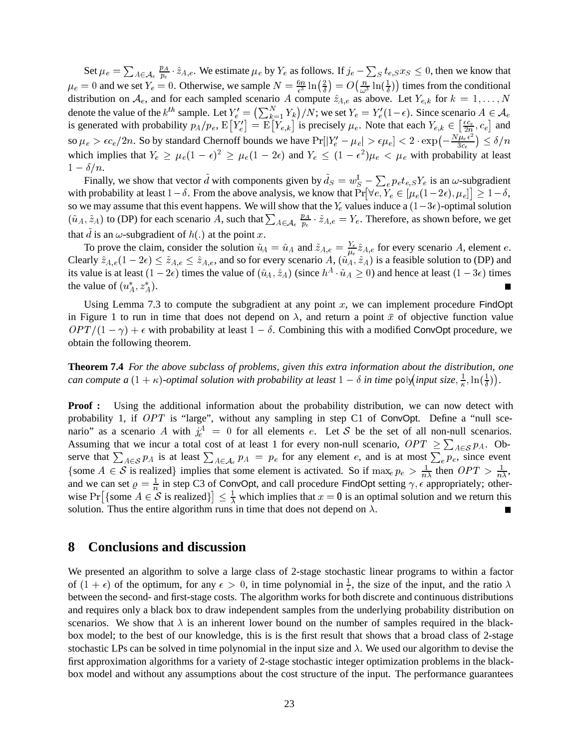Set  $\mu_e = \sum_{A \in \mathcal{A}_e} \frac{p_A}{p_e} \cdot \hat{z}_{A,e}$ . We estimate  $\mu_e$  by  $Y_e$  as follows. If  $j_e - \sum_S t_{e,S} x_S \leq 0$ , then we know that  $\mu_e = 0$  and we set  $Y_e = 0$ . Otherwise, we sample  $N = \frac{6n}{\epsilon^3} \ln\left(\frac{2}{\delta}\right) = O\left(\frac{n}{\omega^3} \ln\left(\frac{1}{\delta}\right)\right)$  tir  $\left(\frac{n}{\omega^3} \ln\left(\frac{1}{\delta}\right)\right)$  times from the conditional distribution on  $A_e$ , and for each sampled scenario A compute  $\hat{z}_{A,e}$  as above. Let  $Y_{e,k}$  for  $k = 1, \ldots,$ denote the value of the  $k^{th}$  sample. Let  $Y_e^j = (\sum_{k=1}^N Y_k)/N$ ; we set  $Y_e = Y_e^j (1 - \epsilon)$ . Since scenario  $A \in \mathcal{A}_e$  $\binom{N}{k-1} Y_k/N$ ; we set  $Y_e = Y'_e(1-\epsilon)$ . Since scenario  $A \in \mathcal{A}_e$ is generated with probability  $p_A/p_e$ ,  $E[Y_e'] = E[Y_{e,k}]$  is precisely  $\mu_e$ . Note that each  $Y_{e,k} \in \left[\frac{ec_e}{2n}, c_e\right]$  and  $\left[\frac{\epsilon c_e}{2n}, c_e\right]$  and is generated with probability  $p_A/p_e$ ,  $E[Y'_e] = E[Y_{e,k}]$  is precisely  $\mu_e$ . Note that each  $Y_{e,k} \in \left[\frac{\epsilon c_e}{2n}, c_e\right]$  and<br>so  $\mu_e > \epsilon c_e/2n$ . So by standard Chernoff bounds we have  $Pr[|Y'_e - \mu_e| > \epsilon \mu_e] < 2 \cdot exp(-\frac{N\mu_e \epsilon^2}{3c_e}) \le \$  $1-\delta/n$ .

Finally, we show that vector d with components given by  $d_S = w_S^1 - \sum_e p_e t_{e,S} Y_e$  is an  $\omega$ -subgradient with probability at least  $1-\delta$ . From the above analysis, we know that  $Pr[\forall e, Y_e \in [\mu_e(1-2\epsilon), \mu_e]] \geq 1-\delta$ , so we may assume that this event happens. We will show that the  $Y_e$  values induce a  $(1-3\epsilon)$ -optimal solution  $(\tilde{u}_A, \tilde{z}_A)$  to (DP) for each scenario A, such that  $\sum_{A \in \mathcal{A}_e} \frac{p_A}{p_e} \cdot \tilde{z}_{A,e} = Y_e$ . Therefore, as shown before, we get that  $\tilde{d}$  is an  $\omega$ -subgradient of  $h(.)$  at the point x.

To prove the claim, consider the solution  $\tilde{u}_A = \hat{u}_A$  and  $\tilde{z}_{A,e} = \frac{Y_e}{\mu_e} \hat{z}_{A,e}$  for every scenario A, element e. Clearly  $\hat{z}_{A,e}(1-2\epsilon) \leq \tilde{z}_{A,e} \leq \hat{z}_{A,e}$ , and so for every scenario  $A$ ,  $(\tilde{u}_A, \tilde{z}_A)$  is a feasible solution to (DP) and its value is at least  $(1-2\epsilon)$  times the value of  $(\hat{u}_A, \hat{z}_A)$  (since  $h^A \cdot \tilde{u}_A \ge 0$ ) and hence at least  $(1-3\epsilon)$  times the value of  $(u_A^*, z_A^*)$ .

Using Lemma 7.3 to compute the subgradient at any point  $x$ , we can implement procedure FindOpt in Figure 1 to run in time that does not depend on  $\lambda$ , and return a point  $\bar{x}$  of objective function value  $OPT/(1 - \gamma) + \epsilon$  with probability at least  $1 - \delta$ . Combining this with a modified ConvOpt procedure, we obtain the following theorem.

**Theorem 7.4** *For the above subclass of problems, given this extra information about the distribution, one can compute a*  $(1 + \kappa)$ -optimal solution with probability at least  $1 - \delta$  in time poly(input size,  $\frac{1}{\kappa}$ ,  $\ln(\frac{1}{\delta})$ ).

**Proof :** Using the additional information about the probability distribution, we can now detect with probability 1, if  $OPT$  is "large", without any sampling in step C1 of ConvOpt. Define a "null scenario" as a scenario A with  $j_e^A = 0$  for all elements e. Let S be the set of all non-null scenarios. Assuming that we incur a total cost of at least 1 for every non-null scenario,  $OPT \geq \sum_{A \in S} p_A$ . Observe that  $\sum_{A \in \mathcal{S}} p_A$  is at least  $\sum_{A \in \mathcal{A}_e} p_A = p_e$  for any element e, and is at most  $\sum_e p_e$ , since event {some  $A \in S$  is realized} implies that some element is activated. So if  $\max_{e} p_e > \frac{1}{n\lambda}$  then  $OPT > \frac{1}{n\lambda}$ , and we can set  $\rho = \frac{1}{n}$  in step C3 of ConvOpt, and call procedure FindOpt setting  $\gamma$ ,  $\epsilon$  appropriately; otherwise  $Pr[\{\text{some } A \in \mathcal{S} \text{ is realized}\}] \leq \frac{1}{\lambda}$  wh  $\leq \frac{1}{\lambda}$  which implies that  $x = 0$  is an optimal solution and we return this solution. Thus the entire algorithm runs in time that does not depend on  $\lambda$ . П

### **8 Conclusions and discussion**

We presented an algorithm to solve a large class of 2-stage stochastic linear programs to within a factor of  $(1 + \epsilon)$  of the optimum, for any  $\epsilon > 0$ , in time polynomial in  $\frac{1}{\epsilon}$ , the size of the input, and the ratio  $\lambda$ between the second- and first-stage costs. The algorithm works for both discrete and continuous distributions and requires only a black box to draw independent samples from the underlying probability distribution on scenarios. We show that  $\lambda$  is an inherent lower bound on the number of samples required in the blackbox model; to the best of our knowledge, this is is the first result that shows that a broad class of 2-stage stochastic LPs can be solved in time polynomial in the input size and  $\lambda$ . We used our algorithm to devise the first approximation algorithms for a variety of 2-stage stochastic integer optimization problems in the blackbox model and without any assumptions about the cost structure of the input. The performance guarantees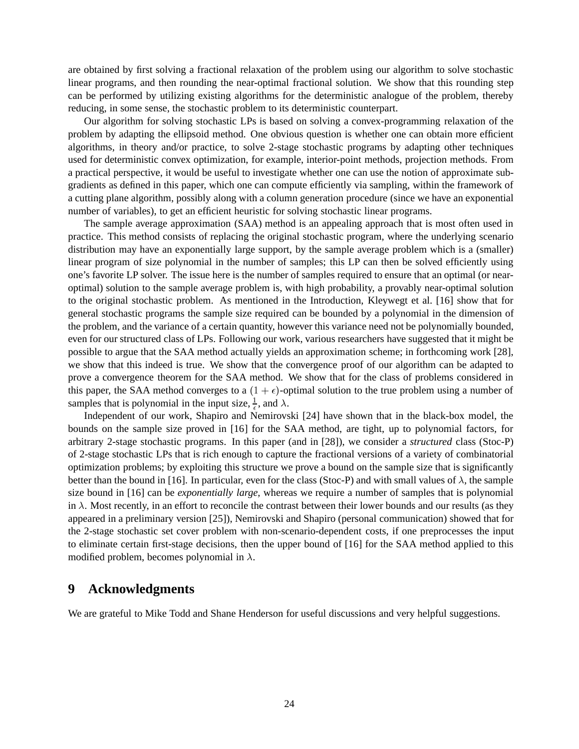are obtained by first solving a fractional relaxation of the problem using our algorithm to solve stochastic linear programs, and then rounding the near-optimal fractional solution. We show that this rounding step can be performed by utilizing existing algorithms for the deterministic analogue of the problem, thereby reducing, in some sense, the stochastic problem to its deterministic counterpart.

Our algorithm for solving stochastic LPs is based on solving a convex-programming relaxation of the problem by adapting the ellipsoid method. One obvious question is whether one can obtain more efficient algorithms, in theory and/or practice, to solve 2-stage stochastic programs by adapting other techniques used for deterministic convex optimization, for example, interior-point methods, projection methods. From a practical perspective, it would be useful to investigate whether one can use the notion of approximate subgradients as defined in this paper, which one can compute efficiently via sampling, within the framework of a cutting plane algorithm, possibly along with a column generation procedure (since we have an exponential number of variables), to get an efficient heuristic for solving stochastic linear programs.

The sample average approximation (SAA) method is an appealing approach that is most often used in practice. This method consists of replacing the original stochastic program, where the underlying scenario distribution may have an exponentially large support, by the sample average problem which is a (smaller) linear program of size polynomial in the number of samples; this LP can then be solved efficiently using one's favorite LP solver. The issue here is the number of samples required to ensure that an optimal (or nearoptimal) solution to the sample average problem is, with high probability, a provably near-optimal solution to the original stochastic problem. As mentioned in the Introduction, Kleywegt et al. [16] show that for general stochastic programs the sample size required can be bounded by a polynomial in the dimension of the problem, and the variance of a certain quantity, however this variance need not be polynomially bounded, even for our structured class of LPs. Following our work, various researchers have suggested that it might be possible to argue that the SAA method actually yields an approximation scheme; in forthcoming work [28], we show that this indeed is true. We show that the convergence proof of our algorithm can be adapted to prove a convergence theorem for the SAA method. We show that for the class of problems considered in this paper, the SAA method converges to a  $(1 + \epsilon)$ -optimal solution to the true problem using a number of samples that is polynomial in the input size,  $\frac{1}{6}$ , and  $\lambda$ .

 Independent of our work, Shapiro and Nemirovski [24] have shown that in the black-box model, the bounds on the sample size proved in [16] for the SAA method, are tight, up to polynomial factors, for arbitrary 2-stage stochastic programs. In this paper (and in [28]), we consider a *structured* class (Stoc-P) of 2-stage stochastic LPs that is rich enough to capture the fractional versions of a variety of combinatorial optimization problems; by exploiting this structure we prove a bound on the sample size that is significantly better than the bound in [16]. In particular, even for the class (Stoc-P) and with small values of  $\lambda$ , the sample size bound in [16] can be *exponentially large*, whereas we require a number of samples that is polynomial in  $\lambda$ . Most recently, in an effort to reconcile the contrast between their lower bounds and our results (as they appeared in a preliminary version [25]), Nemirovski and Shapiro (personal communication) showed that for the 2-stage stochastic set cover problem with non-scenario-dependent costs, if one preprocesses the input to eliminate certain first-stage decisions, then the upper bound of [16] for the SAA method applied to this modified problem, becomes polynomial in  $\lambda$ .

# **9 Acknowledgments**

We are grateful to Mike Todd and Shane Henderson for useful discussions and very helpful suggestions.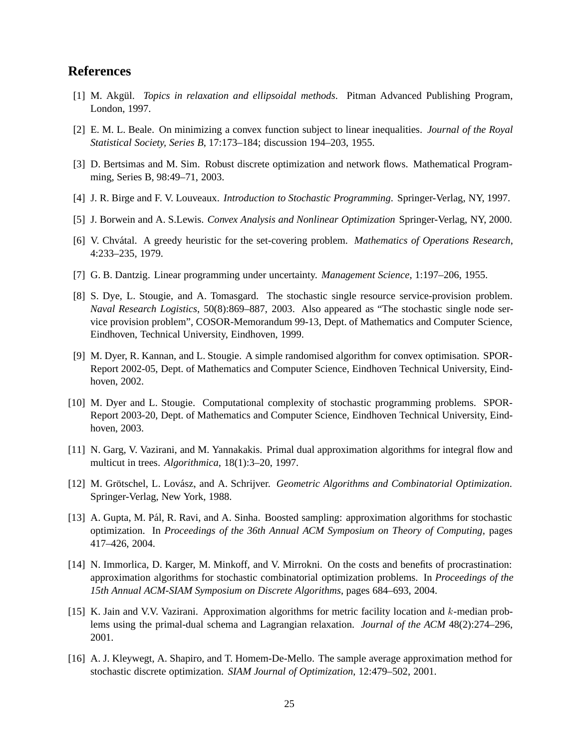# **References**

- [1] M. Akgül. *Topics in relaxation and ellipsoidal methods*. Pitman Advanced Publishing Program, London, 1997.
- [2] E. M. L. Beale. On minimizing a convex function subject to linear inequalities. *Journal of the Royal Statistical Society, Series B*, 17:173–184; discussion 194–203, 1955.
- [3] D. Bertsimas and M. Sim. Robust discrete optimization and network flows. Mathematical Programming, Series B, 98:49–71, 2003.
- [4] J. R. Birge and F. V. Louveaux. *Introduction to Stochastic Programming*. Springer-Verlag, NY, 1997.
- [5] J. Borwein and A. S.Lewis. *Convex Analysis and Nonlinear Optimization* Springer-Verlag, NY, 2000.
- [6] V. Chv´atal. A greedy heuristic for the set-covering problem. *Mathematics of Operations Research*, 4:233–235, 1979.
- [7] G. B. Dantzig. Linear programming under uncertainty. *Management Science*, 1:197–206, 1955.
- [8] S. Dye, L. Stougie, and A. Tomasgard. The stochastic single resource service-provision problem. *Naval Research Logistics*, 50(8):869–887, 2003. Also appeared as "The stochastic single node service provision problem", COSOR-Memorandum 99-13, Dept. of Mathematics and Computer Science, Eindhoven, Technical University, Eindhoven, 1999.
- [9] M. Dyer, R. Kannan, and L. Stougie. A simple randomised algorithm for convex optimisation. SPOR-Report 2002-05, Dept. of Mathematics and Computer Science, Eindhoven Technical University, Eindhoven, 2002.
- [10] M. Dyer and L. Stougie. Computational complexity of stochastic programming problems. SPOR-Report 2003-20, Dept. of Mathematics and Computer Science, Eindhoven Technical University, Eindhoven, 2003.
- [11] N. Garg, V. Vazirani, and M. Yannakakis. Primal dual approximation algorithms for integral flow and multicut in trees. *Algorithmica*, 18(1):3–20, 1997.
- [12] M. Grötschel, L. Lovász, and A. Schrijver. *Geometric Algorithms and Combinatorial Optimization*. Springer-Verlag, New York, 1988.
- [13] A. Gupta, M. Pál, R. Ravi, and A. Sinha. Boosted sampling: approximation algorithms for stochastic optimization. In *Proceedings of the 36th Annual ACM Symposium on Theory of Computing*, pages 417–426, 2004.
- [14] N. Immorlica, D. Karger, M. Minkoff, and V. Mirrokni. On the costs and benefits of procrastination: approximation algorithms for stochastic combinatorial optimization problems. In *Proceedings of the 15th Annual ACM-SIAM Symposium on Discrete Algorithms*, pages 684–693, 2004.
- [15] K. Jain and V.V. Vazirani. Approximation algorithms for metric facility location and  $k$ -median problems using the primal-dual schema and Lagrangian relaxation. *Journal of the ACM* 48(2):274–296, 2001.
- [16] A. J. Kleywegt, A. Shapiro, and T. Homem-De-Mello. The sample average approximation method for stochastic discrete optimization. *SIAM Journal of Optimization*, 12:479–502, 2001.